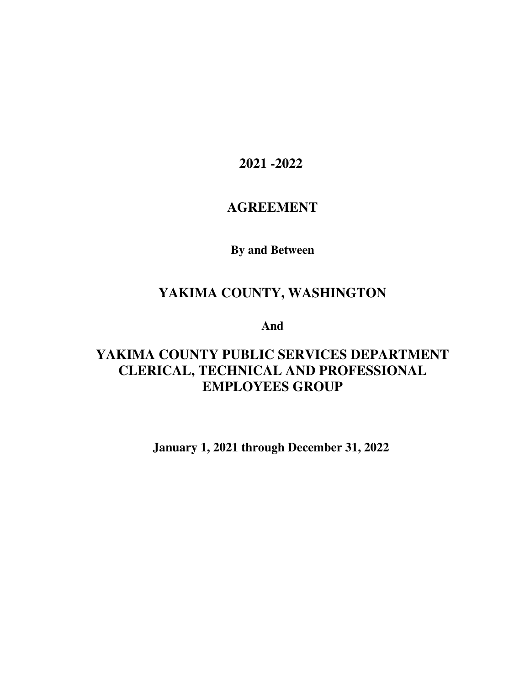**2021 -2022** 

# **AGREEMENT**

**By and Between** 

# **YAKIMA COUNTY, WASHINGTON**

**And** 

# **YAKIMA COUNTY PUBLIC SERVICES DEPARTMENT CLERICAL, TECHNICAL AND PROFESSIONAL EMPLOYEES GROUP**

**January 1, 2021 through December 31, 2022**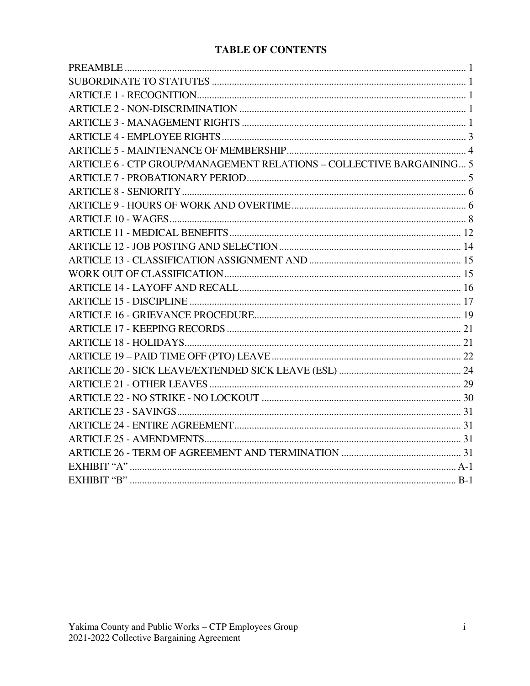# **TABLE OF CONTENTS**

| ARTICLE 6 - CTP GROUP/MANAGEMENT RELATIONS - COLLECTIVE BARGAINING 5 |  |
|----------------------------------------------------------------------|--|
|                                                                      |  |
|                                                                      |  |
|                                                                      |  |
|                                                                      |  |
|                                                                      |  |
|                                                                      |  |
|                                                                      |  |
|                                                                      |  |
|                                                                      |  |
|                                                                      |  |
|                                                                      |  |
|                                                                      |  |
|                                                                      |  |
|                                                                      |  |
|                                                                      |  |
|                                                                      |  |
|                                                                      |  |
|                                                                      |  |
|                                                                      |  |
|                                                                      |  |
|                                                                      |  |
|                                                                      |  |
|                                                                      |  |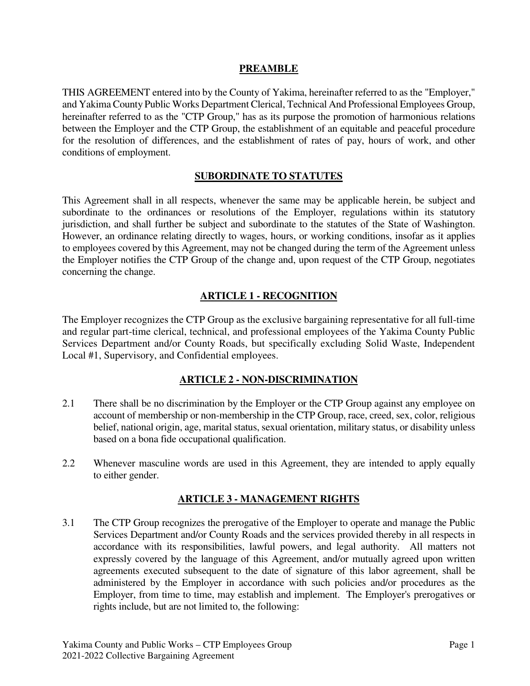#### **PREAMBLE**

THIS AGREEMENT entered into by the County of Yakima, hereinafter referred to as the "Employer," and Yakima County Public Works Department Clerical, Technical And Professional Employees Group, hereinafter referred to as the "CTP Group," has as its purpose the promotion of harmonious relations between the Employer and the CTP Group, the establishment of an equitable and peaceful procedure for the resolution of differences, and the establishment of rates of pay, hours of work, and other conditions of employment.

### **SUBORDINATE TO STATUTES**

This Agreement shall in all respects, whenever the same may be applicable herein, be subject and subordinate to the ordinances or resolutions of the Employer, regulations within its statutory jurisdiction, and shall further be subject and subordinate to the statutes of the State of Washington. However, an ordinance relating directly to wages, hours, or working conditions, insofar as it applies to employees covered by this Agreement, may not be changed during the term of the Agreement unless the Employer notifies the CTP Group of the change and, upon request of the CTP Group, negotiates concerning the change.

# **ARTICLE 1 - RECOGNITION**

The Employer recognizes the CTP Group as the exclusive bargaining representative for all full-time and regular part-time clerical, technical, and professional employees of the Yakima County Public Services Department and/or County Roads, but specifically excluding Solid Waste, Independent Local #1, Supervisory, and Confidential employees.

## **ARTICLE 2 - NON-DISCRIMINATION**

- 2.1 There shall be no discrimination by the Employer or the CTP Group against any employee on account of membership or non-membership in the CTP Group, race, creed, sex, color, religious belief, national origin, age, marital status, sexual orientation, military status, or disability unless based on a bona fide occupational qualification.
- 2.2 Whenever masculine words are used in this Agreement, they are intended to apply equally to either gender.

#### **ARTICLE 3 - MANAGEMENT RIGHTS**

3.1 The CTP Group recognizes the prerogative of the Employer to operate and manage the Public Services Department and/or County Roads and the services provided thereby in all respects in accordance with its responsibilities, lawful powers, and legal authority. All matters not expressly covered by the language of this Agreement, and/or mutually agreed upon written agreements executed subsequent to the date of signature of this labor agreement, shall be administered by the Employer in accordance with such policies and/or procedures as the Employer, from time to time, may establish and implement. The Employer's prerogatives or rights include, but are not limited to, the following: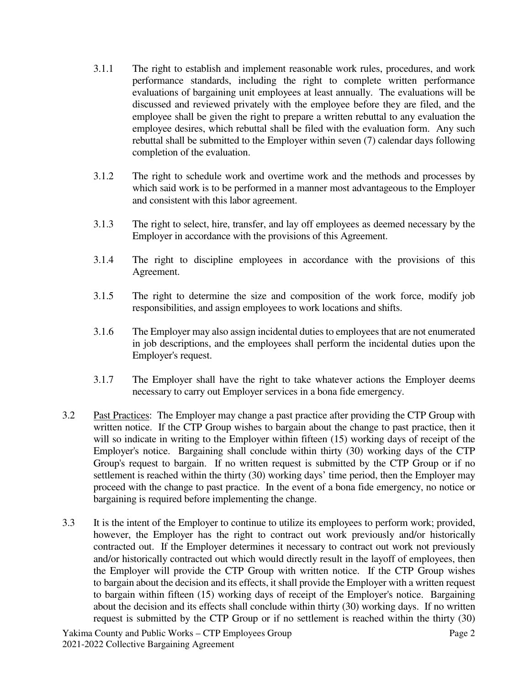- 3.1.1 The right to establish and implement reasonable work rules, procedures, and work performance standards, including the right to complete written performance evaluations of bargaining unit employees at least annually. The evaluations will be discussed and reviewed privately with the employee before they are filed, and the employee shall be given the right to prepare a written rebuttal to any evaluation the employee desires, which rebuttal shall be filed with the evaluation form. Any such rebuttal shall be submitted to the Employer within seven (7) calendar days following completion of the evaluation.
- 3.1.2 The right to schedule work and overtime work and the methods and processes by which said work is to be performed in a manner most advantageous to the Employer and consistent with this labor agreement.
- 3.1.3 The right to select, hire, transfer, and lay off employees as deemed necessary by the Employer in accordance with the provisions of this Agreement.
- 3.1.4 The right to discipline employees in accordance with the provisions of this Agreement.
- 3.1.5 The right to determine the size and composition of the work force, modify job responsibilities, and assign employees to work locations and shifts.
- 3.1.6 The Employer may also assign incidental duties to employees that are not enumerated in job descriptions, and the employees shall perform the incidental duties upon the Employer's request.
- 3.1.7 The Employer shall have the right to take whatever actions the Employer deems necessary to carry out Employer services in a bona fide emergency.
- 3.2 Past Practices: The Employer may change a past practice after providing the CTP Group with written notice. If the CTP Group wishes to bargain about the change to past practice, then it will so indicate in writing to the Employer within fifteen (15) working days of receipt of the Employer's notice. Bargaining shall conclude within thirty (30) working days of the CTP Group's request to bargain. If no written request is submitted by the CTP Group or if no settlement is reached within the thirty (30) working days' time period, then the Employer may proceed with the change to past practice. In the event of a bona fide emergency, no notice or bargaining is required before implementing the change.
- 3.3 It is the intent of the Employer to continue to utilize its employees to perform work; provided, however, the Employer has the right to contract out work previously and/or historically contracted out. If the Employer determines it necessary to contract out work not previously and/or historically contracted out which would directly result in the layoff of employees, then the Employer will provide the CTP Group with written notice. If the CTP Group wishes to bargain about the decision and its effects, it shall provide the Employer with a written request to bargain within fifteen (15) working days of receipt of the Employer's notice. Bargaining about the decision and its effects shall conclude within thirty (30) working days. If no written request is submitted by the CTP Group or if no settlement is reached within the thirty (30)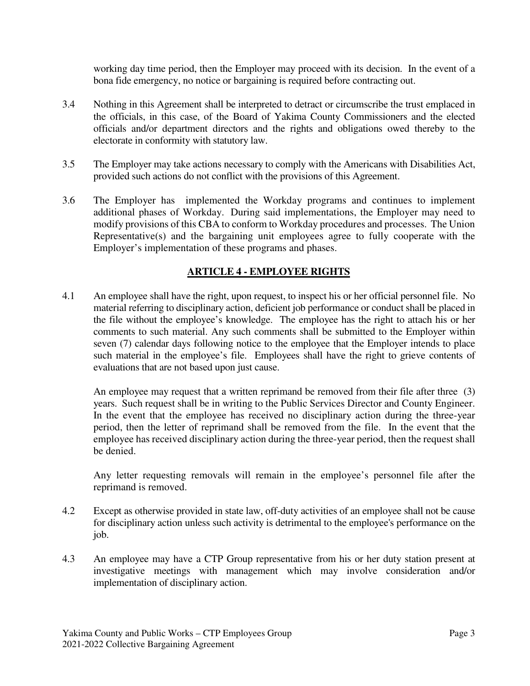working day time period, then the Employer may proceed with its decision. In the event of a bona fide emergency, no notice or bargaining is required before contracting out.

- 3.4 Nothing in this Agreement shall be interpreted to detract or circumscribe the trust emplaced in the officials, in this case, of the Board of Yakima County Commissioners and the elected officials and/or department directors and the rights and obligations owed thereby to the electorate in conformity with statutory law.
- 3.5 The Employer may take actions necessary to comply with the Americans with Disabilities Act, provided such actions do not conflict with the provisions of this Agreement.
- 3.6 The Employer has implemented the Workday programs and continues to implement additional phases of Workday. During said implementations, the Employer may need to modify provisions of this CBA to conform to Workday procedures and processes. The Union Representative(s) and the bargaining unit employees agree to fully cooperate with the Employer's implementation of these programs and phases.

## **ARTICLE 4 - EMPLOYEE RIGHTS**

4.1 An employee shall have the right, upon request, to inspect his or her official personnel file. No material referring to disciplinary action, deficient job performance or conduct shall be placed in the file without the employee's knowledge. The employee has the right to attach his or her comments to such material. Any such comments shall be submitted to the Employer within seven (7) calendar days following notice to the employee that the Employer intends to place such material in the employee's file. Employees shall have the right to grieve contents of evaluations that are not based upon just cause.

An employee may request that a written reprimand be removed from their file after three (3) years. Such request shall be in writing to the Public Services Director and County Engineer. In the event that the employee has received no disciplinary action during the three-year period, then the letter of reprimand shall be removed from the file. In the event that the employee has received disciplinary action during the three-year period, then the request shall be denied.

Any letter requesting removals will remain in the employee's personnel file after the reprimand is removed.

- 4.2 Except as otherwise provided in state law, off-duty activities of an employee shall not be cause for disciplinary action unless such activity is detrimental to the employee's performance on the job.
- 4.3 An employee may have a CTP Group representative from his or her duty station present at investigative meetings with management which may involve consideration and/or implementation of disciplinary action.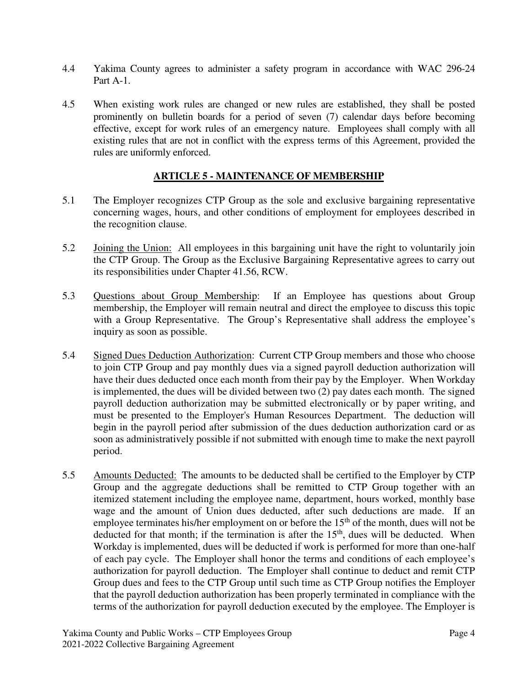- 4.4 Yakima County agrees to administer a safety program in accordance with WAC 296-24 Part A-1.
- 4.5 When existing work rules are changed or new rules are established, they shall be posted prominently on bulletin boards for a period of seven (7) calendar days before becoming effective, except for work rules of an emergency nature. Employees shall comply with all existing rules that are not in conflict with the express terms of this Agreement, provided the rules are uniformly enforced.

## **ARTICLE 5 - MAINTENANCE OF MEMBERSHIP**

- 5.1 The Employer recognizes CTP Group as the sole and exclusive bargaining representative concerning wages, hours, and other conditions of employment for employees described in the recognition clause.
- 5.2 Joining the Union: All employees in this bargaining unit have the right to voluntarily join the CTP Group. The Group as the Exclusive Bargaining Representative agrees to carry out its responsibilities under Chapter 41.56, RCW.
- 5.3 Questions about Group Membership: If an Employee has questions about Group membership, the Employer will remain neutral and direct the employee to discuss this topic with a Group Representative. The Group's Representative shall address the employee's inquiry as soon as possible.
- 5.4 Signed Dues Deduction Authorization: Current CTP Group members and those who choose to join CTP Group and pay monthly dues via a signed payroll deduction authorization will have their dues deducted once each month from their pay by the Employer. When Workday is implemented, the dues will be divided between two (2) pay dates each month. The signed payroll deduction authorization may be submitted electronically or by paper writing, and must be presented to the Employer's Human Resources Department. The deduction will begin in the payroll period after submission of the dues deduction authorization card or as soon as administratively possible if not submitted with enough time to make the next payroll period.
- 5.5 Amounts Deducted: The amounts to be deducted shall be certified to the Employer by CTP Group and the aggregate deductions shall be remitted to CTP Group together with an itemized statement including the employee name, department, hours worked, monthly base wage and the amount of Union dues deducted, after such deductions are made. If an employee terminates his/her employment on or before the  $15<sup>th</sup>$  of the month, dues will not be deducted for that month; if the termination is after the  $15<sup>th</sup>$ , dues will be deducted. When Workday is implemented, dues will be deducted if work is performed for more than one-half of each pay cycle. The Employer shall honor the terms and conditions of each employee's authorization for payroll deduction. The Employer shall continue to deduct and remit CTP Group dues and fees to the CTP Group until such time as CTP Group notifies the Employer that the payroll deduction authorization has been properly terminated in compliance with the terms of the authorization for payroll deduction executed by the employee. The Employer is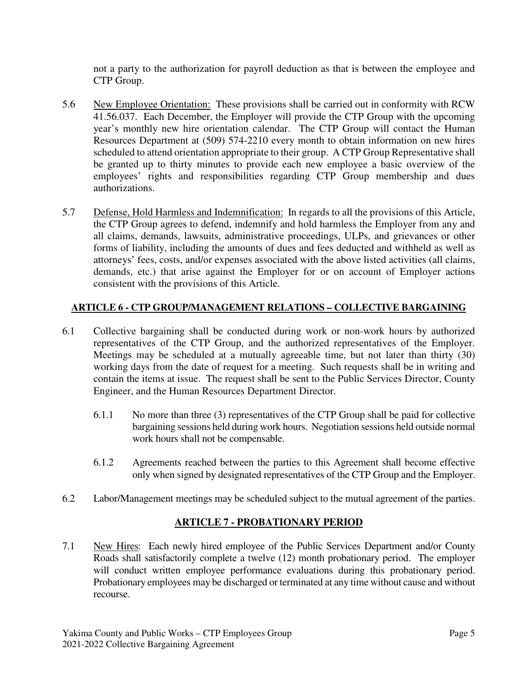not a party to the authorization for payroll deduction as that is between the employee and CTP Group.

- 5.6 New Employee Orientation: These provisions shall be carried out in conformity with RCW 41.56.037. Each December, the Employer will provide the CTP Group with the upcoming year's monthly new hire orientation calendar. The CTP Group will contact the Human Resources Department at (509) 574-2210 every month to obtain information on new hires scheduled to attend orientation appropriate to their group. A CTP Group Representative shall be granted up to thirty minutes to provide each new employee a basic overview of the employees' rights and responsibilities regarding CTP Group membership and dues authorizations.
- 5.7 Defense, Hold Harmless and Indemnification: In regards to all the provisions of this Article, the CTP Group agrees to defend, indemnify and hold harmless the Employer from any and all claims, demands, lawsuits, administrative proceedings, ULPs, and grievances or other forms of liability, including the amounts of dues and fees deducted and withheld as well as attorneys' fees, costs, and/or expenses associated with the above listed activities (all claims, demands, etc.) that arise against the Employer for or on account of Employer actions consistent with the provisions of this Article.

## **ARTICLE 6 - CTP GROUP/MANAGEMENT RELATIONS – COLLECTIVE BARGAINING**

- 6.1 Collective bargaining shall be conducted during work or non-work hours by authorized representatives of the CTP Group, and the authorized representatives of the Employer. Meetings may be scheduled at a mutually agreeable time, but not later than thirty (30) working days from the date of request for a meeting. Such requests shall be in writing and contain the items at issue. The request shall be sent to the Public Services Director, County Engineer, and the Human Resources Department Director.
	- 6.1.1 No more than three (3) representatives of the CTP Group shall be paid for collective bargaining sessions held during work hours. Negotiation sessions held outside normal work hours shall not be compensable.
	- 6.1.2 Agreements reached between the parties to this Agreement shall become effective only when signed by designated representatives of the CTP Group and the Employer.
- 6.2 Labor/Management meetings may be scheduled subject to the mutual agreement of the parties.

# **ARTICLE 7 - PROBATIONARY PERIOD**

7.1 New Hires: Each newly hired employee of the Public Services Department and/or County Roads shall satisfactorily complete a twelve (12) month probationary period. The employer will conduct written employee performance evaluations during this probationary period. Probationary employees may be discharged or terminated at any time without cause and without recourse.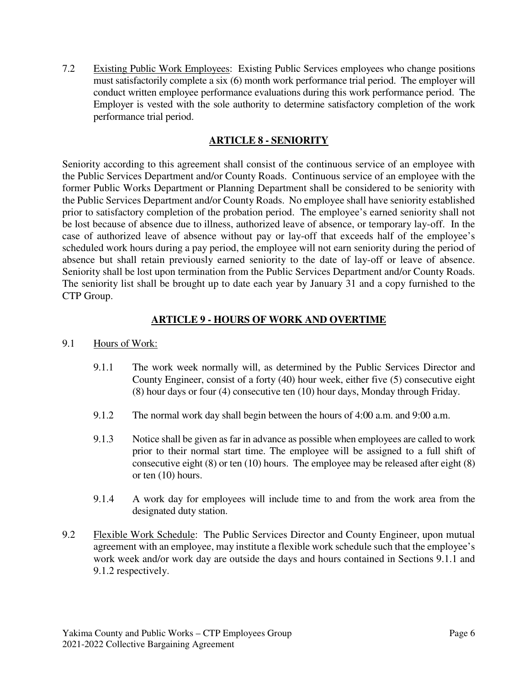7.2 Existing Public Work Employees: Existing Public Services employees who change positions must satisfactorily complete a six (6) month work performance trial period. The employer will conduct written employee performance evaluations during this work performance period. The Employer is vested with the sole authority to determine satisfactory completion of the work performance trial period.

### **ARTICLE 8 - SENIORITY**

Seniority according to this agreement shall consist of the continuous service of an employee with the Public Services Department and/or County Roads. Continuous service of an employee with the former Public Works Department or Planning Department shall be considered to be seniority with the Public Services Department and/or County Roads. No employee shall have seniority established prior to satisfactory completion of the probation period. The employee's earned seniority shall not be lost because of absence due to illness, authorized leave of absence, or temporary lay-off. In the case of authorized leave of absence without pay or lay-off that exceeds half of the employee's scheduled work hours during a pay period, the employee will not earn seniority during the period of absence but shall retain previously earned seniority to the date of lay-off or leave of absence. Seniority shall be lost upon termination from the Public Services Department and/or County Roads. The seniority list shall be brought up to date each year by January 31 and a copy furnished to the CTP Group.

#### **ARTICLE 9 - HOURS OF WORK AND OVERTIME**

#### 9.1 Hours of Work:

- 9.1.1 The work week normally will, as determined by the Public Services Director and County Engineer, consist of a forty (40) hour week, either five (5) consecutive eight (8) hour days or four (4) consecutive ten (10) hour days, Monday through Friday.
- 9.1.2 The normal work day shall begin between the hours of 4:00 a.m. and 9:00 a.m.
- 9.1.3 Notice shall be given as far in advance as possible when employees are called to work prior to their normal start time. The employee will be assigned to a full shift of consecutive eight (8) or ten (10) hours. The employee may be released after eight (8) or ten (10) hours.
- 9.1.4 A work day for employees will include time to and from the work area from the designated duty station.
- 9.2 Flexible Work Schedule: The Public Services Director and County Engineer, upon mutual agreement with an employee, may institute a flexible work schedule such that the employee's work week and/or work day are outside the days and hours contained in Sections 9.1.1 and 9.1.2 respectively.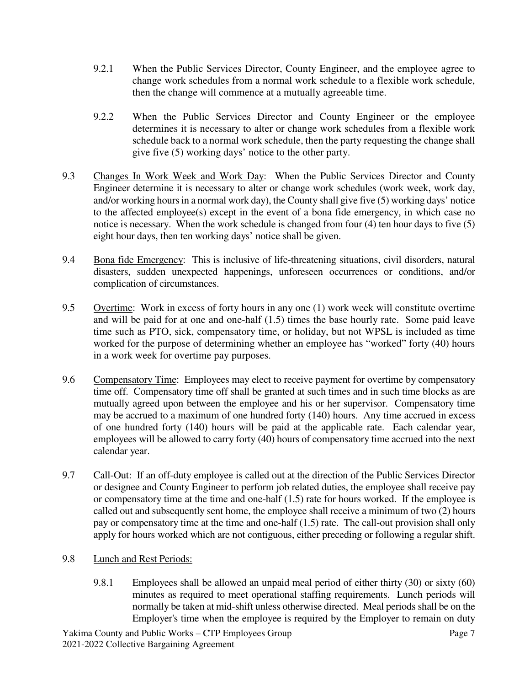- 9.2.1 When the Public Services Director, County Engineer, and the employee agree to change work schedules from a normal work schedule to a flexible work schedule, then the change will commence at a mutually agreeable time.
- 9.2.2 When the Public Services Director and County Engineer or the employee determines it is necessary to alter or change work schedules from a flexible work schedule back to a normal work schedule, then the party requesting the change shall give five (5) working days' notice to the other party.
- 9.3 Changes In Work Week and Work Day: When the Public Services Director and County Engineer determine it is necessary to alter or change work schedules (work week, work day, and/or working hours in a normal work day), the County shall give five (5) working days' notice to the affected employee(s) except in the event of a bona fide emergency, in which case no notice is necessary. When the work schedule is changed from four (4) ten hour days to five (5) eight hour days, then ten working days' notice shall be given.
- 9.4 Bona fide Emergency: This is inclusive of life-threatening situations, civil disorders, natural disasters, sudden unexpected happenings, unforeseen occurrences or conditions, and/or complication of circumstances.
- 9.5 Overtime: Work in excess of forty hours in any one (1) work week will constitute overtime and will be paid for at one and one-half (1.5) times the base hourly rate. Some paid leave time such as PTO, sick, compensatory time, or holiday, but not WPSL is included as time worked for the purpose of determining whether an employee has "worked" forty (40) hours in a work week for overtime pay purposes.
- 9.6 Compensatory Time: Employees may elect to receive payment for overtime by compensatory time off. Compensatory time off shall be granted at such times and in such time blocks as are mutually agreed upon between the employee and his or her supervisor. Compensatory time may be accrued to a maximum of one hundred forty (140) hours. Any time accrued in excess of one hundred forty (140) hours will be paid at the applicable rate. Each calendar year, employees will be allowed to carry forty (40) hours of compensatory time accrued into the next calendar year.
- 9.7 Call-Out: If an off-duty employee is called out at the direction of the Public Services Director or designee and County Engineer to perform job related duties, the employee shall receive pay or compensatory time at the time and one-half (1.5) rate for hours worked. If the employee is called out and subsequently sent home, the employee shall receive a minimum of two (2) hours pay or compensatory time at the time and one-half (1.5) rate. The call-out provision shall only apply for hours worked which are not contiguous, either preceding or following a regular shift.
- 9.8 Lunch and Rest Periods:
	- 9.8.1 Employees shall be allowed an unpaid meal period of either thirty (30) or sixty (60) minutes as required to meet operational staffing requirements. Lunch periods will normally be taken at mid-shift unless otherwise directed. Meal periods shall be on the Employer's time when the employee is required by the Employer to remain on duty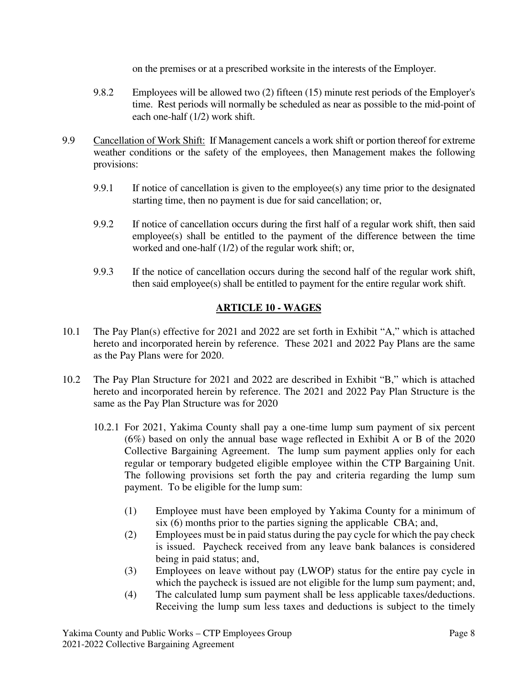on the premises or at a prescribed worksite in the interests of the Employer.

- 9.8.2 Employees will be allowed two (2) fifteen (15) minute rest periods of the Employer's time. Rest periods will normally be scheduled as near as possible to the mid-point of each one-half (1/2) work shift.
- 9.9 Cancellation of Work Shift: If Management cancels a work shift or portion thereof for extreme weather conditions or the safety of the employees, then Management makes the following provisions:
	- 9.9.1 If notice of cancellation is given to the employee(s) any time prior to the designated starting time, then no payment is due for said cancellation; or,
	- 9.9.2 If notice of cancellation occurs during the first half of a regular work shift, then said employee(s) shall be entitled to the payment of the difference between the time worked and one-half (1/2) of the regular work shift; or,
	- 9.9.3 If the notice of cancellation occurs during the second half of the regular work shift, then said employee(s) shall be entitled to payment for the entire regular work shift.

# **ARTICLE 10 - WAGES**

- 10.1 The Pay Plan(s) effective for 2021 and 2022 are set forth in Exhibit "A," which is attached hereto and incorporated herein by reference. These 2021 and 2022 Pay Plans are the same as the Pay Plans were for 2020.
- 10.2 The Pay Plan Structure for 2021 and 2022 are described in Exhibit "B," which is attached hereto and incorporated herein by reference. The 2021 and 2022 Pay Plan Structure is the same as the Pay Plan Structure was for 2020
	- 10.2.1 For 2021, Yakima County shall pay a one-time lump sum payment of six percent (6%) based on only the annual base wage reflected in Exhibit A or B of the 2020 Collective Bargaining Agreement. The lump sum payment applies only for each regular or temporary budgeted eligible employee within the CTP Bargaining Unit. The following provisions set forth the pay and criteria regarding the lump sum payment. To be eligible for the lump sum:
		- (1) Employee must have been employed by Yakima County for a minimum of six (6) months prior to the parties signing the applicable CBA; and,
		- (2) Employees must be in paid status during the pay cycle for which the pay check is issued. Paycheck received from any leave bank balances is considered being in paid status; and,
		- (3) Employees on leave without pay (LWOP) status for the entire pay cycle in which the paycheck is issued are not eligible for the lump sum payment; and,
		- (4) The calculated lump sum payment shall be less applicable taxes/deductions. Receiving the lump sum less taxes and deductions is subject to the timely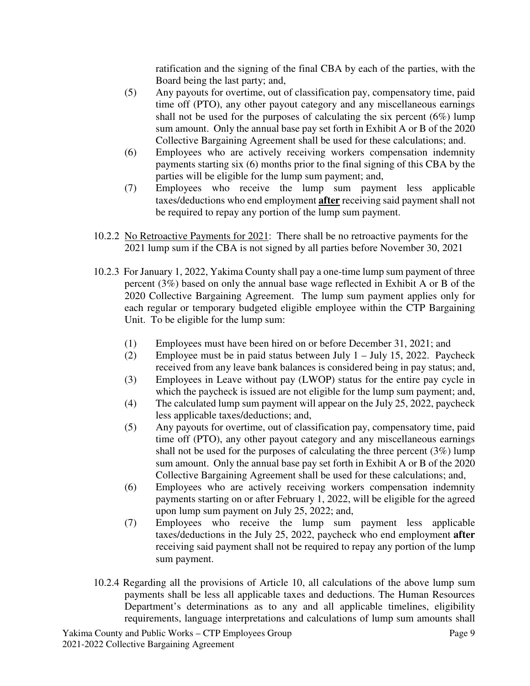ratification and the signing of the final CBA by each of the parties, with the Board being the last party; and,

- (5) Any payouts for overtime, out of classification pay, compensatory time, paid time off (PTO), any other payout category and any miscellaneous earnings shall not be used for the purposes of calculating the six percent  $(6\%)$  lump sum amount. Only the annual base pay set forth in Exhibit A or B of the 2020 Collective Bargaining Agreement shall be used for these calculations; and.
- (6) Employees who are actively receiving workers compensation indemnity payments starting six (6) months prior to the final signing of this CBA by the parties will be eligible for the lump sum payment; and,
- (7) Employees who receive the lump sum payment less applicable taxes/deductions who end employment **after** receiving said payment shall not be required to repay any portion of the lump sum payment.
- 10.2.2 No Retroactive Payments for 2021: There shall be no retroactive payments for the 2021 lump sum if the CBA is not signed by all parties before November 30, 2021
- 10.2.3 For January 1, 2022, Yakima County shall pay a one-time lump sum payment of three percent (3%) based on only the annual base wage reflected in Exhibit A or B of the 2020 Collective Bargaining Agreement. The lump sum payment applies only for each regular or temporary budgeted eligible employee within the CTP Bargaining Unit. To be eligible for the lump sum:
	- (1) Employees must have been hired on or before December 31, 2021; and
	- (2) Employee must be in paid status between July  $1 -$  July 15, 2022. Paycheck received from any leave bank balances is considered being in pay status; and,
	- (3) Employees in Leave without pay (LWOP) status for the entire pay cycle in which the paycheck is issued are not eligible for the lump sum payment; and,
	- (4) The calculated lump sum payment will appear on the July 25, 2022, paycheck less applicable taxes/deductions; and,
	- (5) Any payouts for overtime, out of classification pay, compensatory time, paid time off (PTO), any other payout category and any miscellaneous earnings shall not be used for the purposes of calculating the three percent (3%) lump sum amount. Only the annual base pay set forth in Exhibit A or B of the 2020 Collective Bargaining Agreement shall be used for these calculations; and,
	- (6) Employees who are actively receiving workers compensation indemnity payments starting on or after February 1, 2022, will be eligible for the agreed upon lump sum payment on July 25, 2022; and,
	- (7) Employees who receive the lump sum payment less applicable taxes/deductions in the July 25, 2022, paycheck who end employment **after**  receiving said payment shall not be required to repay any portion of the lump sum payment.
- 10.2.4 Regarding all the provisions of Article 10, all calculations of the above lump sum payments shall be less all applicable taxes and deductions. The Human Resources Department's determinations as to any and all applicable timelines, eligibility requirements, language interpretations and calculations of lump sum amounts shall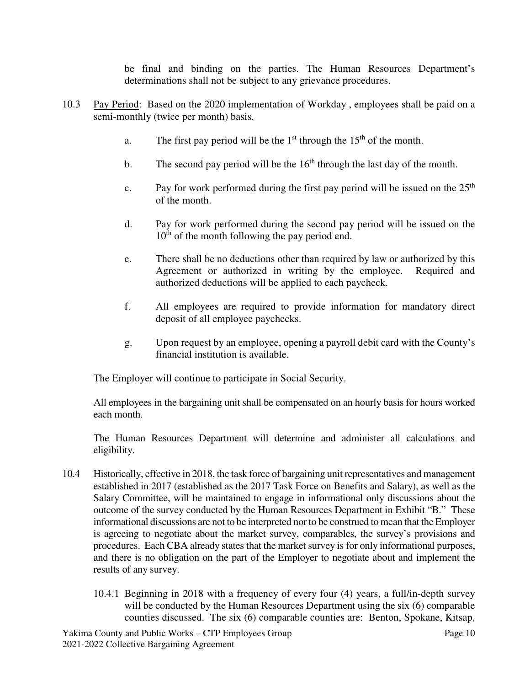be final and binding on the parties. The Human Resources Department's determinations shall not be subject to any grievance procedures.

- 10.3 Pay Period: Based on the 2020 implementation of Workday , employees shall be paid on a semi-monthly (twice per month) basis.
	- a. The first pay period will be the  $1<sup>st</sup>$  through the  $15<sup>th</sup>$  of the month.
	- b. The second pay period will be the  $16<sup>th</sup>$  through the last day of the month.
	- c. Pay for work performed during the first pay period will be issued on the  $25<sup>th</sup>$ of the month.
	- d. Pay for work performed during the second pay period will be issued on the  $10<sup>th</sup>$  of the month following the pay period end.
	- e. There shall be no deductions other than required by law or authorized by this Agreement or authorized in writing by the employee. Required and authorized deductions will be applied to each paycheck.
	- f. All employees are required to provide information for mandatory direct deposit of all employee paychecks.
	- g. Upon request by an employee, opening a payroll debit card with the County's financial institution is available.

The Employer will continue to participate in Social Security.

All employees in the bargaining unit shall be compensated on an hourly basis for hours worked each month.

The Human Resources Department will determine and administer all calculations and eligibility.

- 10.4 Historically, effective in 2018, the task force of bargaining unit representatives and management established in 2017 (established as the 2017 Task Force on Benefits and Salary), as well as the Salary Committee, will be maintained to engage in informational only discussions about the outcome of the survey conducted by the Human Resources Department in Exhibit "B." These informational discussions are not to be interpreted nor to be construed to mean that the Employer is agreeing to negotiate about the market survey, comparables, the survey's provisions and procedures. Each CBA already states that the market survey is for only informational purposes, and there is no obligation on the part of the Employer to negotiate about and implement the results of any survey.
	- 10.4.1 Beginning in 2018 with a frequency of every four (4) years, a full/in-depth survey will be conducted by the Human Resources Department using the six (6) comparable counties discussed. The six (6) comparable counties are: Benton, Spokane, Kitsap,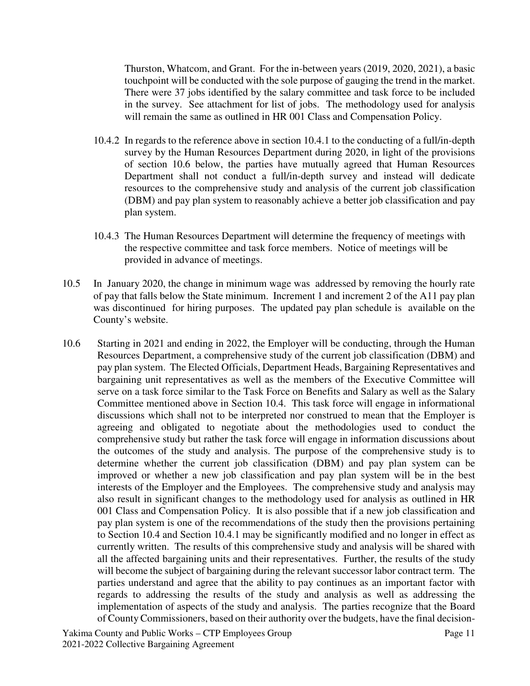Thurston, Whatcom, and Grant. For the in-between years (2019, 2020, 2021), a basic touchpoint will be conducted with the sole purpose of gauging the trend in the market. There were 37 jobs identified by the salary committee and task force to be included in the survey. See attachment for list of jobs. The methodology used for analysis will remain the same as outlined in HR 001 Class and Compensation Policy.

- 10.4.2 In regards to the reference above in section 10.4.1 to the conducting of a full/in-depth survey by the Human Resources Department during 2020, in light of the provisions of section 10.6 below, the parties have mutually agreed that Human Resources Department shall not conduct a full/in-depth survey and instead will dedicate resources to the comprehensive study and analysis of the current job classification (DBM) and pay plan system to reasonably achieve a better job classification and pay plan system.
- 10.4.3 The Human Resources Department will determine the frequency of meetings with the respective committee and task force members. Notice of meetings will be provided in advance of meetings.
- 10.5 In January 2020, the change in minimum wage was addressed by removing the hourly rate of pay that falls below the State minimum. Increment 1 and increment 2 of the A11 pay plan was discontinued for hiring purposes. The updated pay plan schedule is available on the County's website.
- 10.6 Starting in 2021 and ending in 2022, the Employer will be conducting, through the Human Resources Department, a comprehensive study of the current job classification (DBM) and pay plan system. The Elected Officials, Department Heads, Bargaining Representatives and bargaining unit representatives as well as the members of the Executive Committee will serve on a task force similar to the Task Force on Benefits and Salary as well as the Salary Committee mentioned above in Section 10.4. This task force will engage in informational discussions which shall not to be interpreted nor construed to mean that the Employer is agreeing and obligated to negotiate about the methodologies used to conduct the comprehensive study but rather the task force will engage in information discussions about the outcomes of the study and analysis. The purpose of the comprehensive study is to determine whether the current job classification (DBM) and pay plan system can be improved or whether a new job classification and pay plan system will be in the best interests of the Employer and the Employees. The comprehensive study and analysis may also result in significant changes to the methodology used for analysis as outlined in HR 001 Class and Compensation Policy. It is also possible that if a new job classification and pay plan system is one of the recommendations of the study then the provisions pertaining to Section 10.4 and Section 10.4.1 may be significantly modified and no longer in effect as currently written. The results of this comprehensive study and analysis will be shared with all the affected bargaining units and their representatives. Further, the results of the study will become the subject of bargaining during the relevant successor labor contract term. The parties understand and agree that the ability to pay continues as an important factor with regards to addressing the results of the study and analysis as well as addressing the implementation of aspects of the study and analysis. The parties recognize that the Board of County Commissioners, based on their authority over the budgets, have the final decision-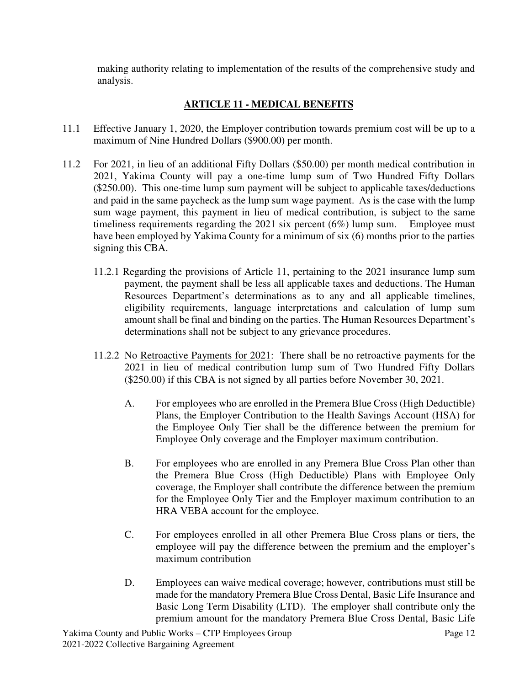making authority relating to implementation of the results of the comprehensive study and analysis.

# **ARTICLE 11 - MEDICAL BENEFITS**

- 11.1 Effective January 1, 2020, the Employer contribution towards premium cost will be up to a maximum of Nine Hundred Dollars (\$900.00) per month.
- 11.2 For 2021, in lieu of an additional Fifty Dollars (\$50.00) per month medical contribution in 2021, Yakima County will pay a one-time lump sum of Two Hundred Fifty Dollars (\$250.00). This one-time lump sum payment will be subject to applicable taxes/deductions and paid in the same paycheck as the lump sum wage payment. As is the case with the lump sum wage payment, this payment in lieu of medical contribution, is subject to the same timeliness requirements regarding the 2021 six percent (6%) lump sum. Employee must have been employed by Yakima County for a minimum of six (6) months prior to the parties signing this CBA.
	- 11.2.1 Regarding the provisions of Article 11, pertaining to the 2021 insurance lump sum payment, the payment shall be less all applicable taxes and deductions. The Human Resources Department's determinations as to any and all applicable timelines, eligibility requirements, language interpretations and calculation of lump sum amount shall be final and binding on the parties. The Human Resources Department's determinations shall not be subject to any grievance procedures.
	- 11.2.2 No Retroactive Payments for 2021: There shall be no retroactive payments for the 2021 in lieu of medical contribution lump sum of Two Hundred Fifty Dollars (\$250.00) if this CBA is not signed by all parties before November 30, 2021.
		- A. For employees who are enrolled in the Premera Blue Cross (High Deductible) Plans, the Employer Contribution to the Health Savings Account (HSA) for the Employee Only Tier shall be the difference between the premium for Employee Only coverage and the Employer maximum contribution.
		- B. For employees who are enrolled in any Premera Blue Cross Plan other than the Premera Blue Cross (High Deductible) Plans with Employee Only coverage, the Employer shall contribute the difference between the premium for the Employee Only Tier and the Employer maximum contribution to an HRA VEBA account for the employee.
		- C. For employees enrolled in all other Premera Blue Cross plans or tiers, the employee will pay the difference between the premium and the employer's maximum contribution
		- D. Employees can waive medical coverage; however, contributions must still be made for the mandatory Premera Blue Cross Dental, Basic Life Insurance and Basic Long Term Disability (LTD). The employer shall contribute only the premium amount for the mandatory Premera Blue Cross Dental, Basic Life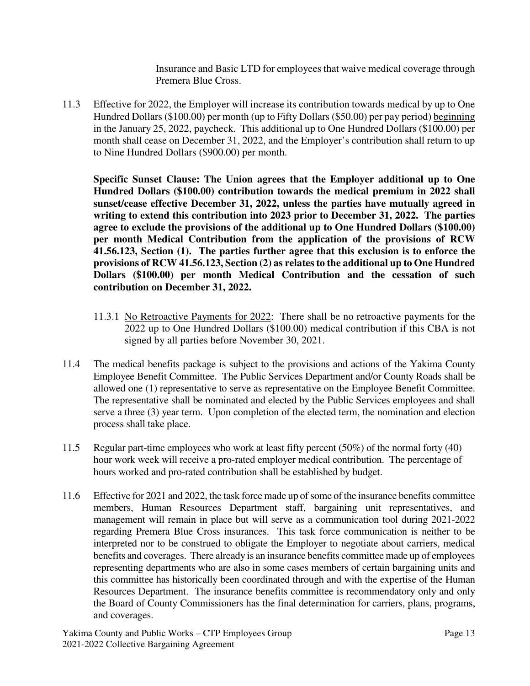Insurance and Basic LTD for employees that waive medical coverage through Premera Blue Cross.

11.3 Effective for 2022, the Employer will increase its contribution towards medical by up to One Hundred Dollars (\$100.00) per month (up to Fifty Dollars (\$50.00) per pay period) beginning in the January 25, 2022, paycheck. This additional up to One Hundred Dollars (\$100.00) per month shall cease on December 31, 2022, and the Employer's contribution shall return to up to Nine Hundred Dollars (\$900.00) per month.

**Specific Sunset Clause: The Union agrees that the Employer additional up to One Hundred Dollars (\$100.00) contribution towards the medical premium in 2022 shall sunset/cease effective December 31, 2022, unless the parties have mutually agreed in writing to extend this contribution into 2023 prior to December 31, 2022. The parties agree to exclude the provisions of the additional up to One Hundred Dollars (\$100.00) per month Medical Contribution from the application of the provisions of RCW 41.56.123, Section (1). The parties further agree that this exclusion is to enforce the provisions of RCW 41.56.123, Section (2) as relates to the additional up to One Hundred Dollars (\$100.00) per month Medical Contribution and the cessation of such contribution on December 31, 2022.** 

- 11.3.1 No Retroactive Payments for 2022: There shall be no retroactive payments for the 2022 up to One Hundred Dollars (\$100.00) medical contribution if this CBA is not signed by all parties before November 30, 2021.
- 11.4 The medical benefits package is subject to the provisions and actions of the Yakima County Employee Benefit Committee. The Public Services Department and/or County Roads shall be allowed one (1) representative to serve as representative on the Employee Benefit Committee. The representative shall be nominated and elected by the Public Services employees and shall serve a three (3) year term. Upon completion of the elected term, the nomination and election process shall take place.
- 11.5 Regular part-time employees who work at least fifty percent (50%) of the normal forty (40) hour work week will receive a pro-rated employer medical contribution. The percentage of hours worked and pro-rated contribution shall be established by budget.
- 11.6 Effective for 2021 and 2022, the task force made up of some of the insurance benefits committee members, Human Resources Department staff, bargaining unit representatives, and management will remain in place but will serve as a communication tool during 2021-2022 regarding Premera Blue Cross insurances. This task force communication is neither to be interpreted nor to be construed to obligate the Employer to negotiate about carriers, medical benefits and coverages. There already is an insurance benefits committee made up of employees representing departments who are also in some cases members of certain bargaining units and this committee has historically been coordinated through and with the expertise of the Human Resources Department. The insurance benefits committee is recommendatory only and only the Board of County Commissioners has the final determination for carriers, plans, programs, and coverages.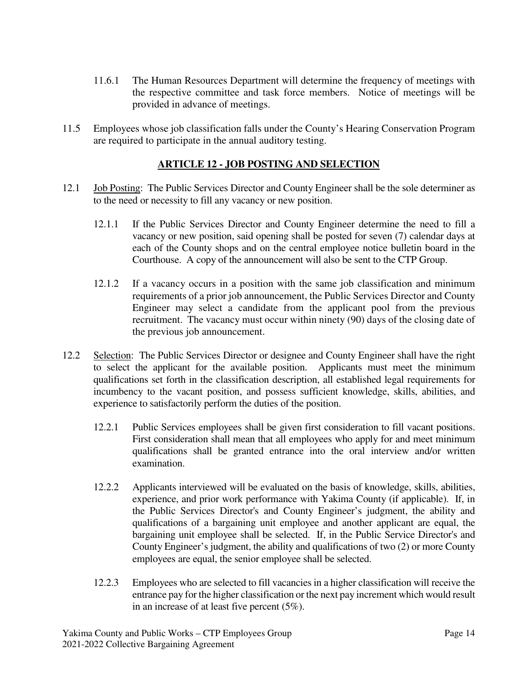- 11.6.1 The Human Resources Department will determine the frequency of meetings with the respective committee and task force members. Notice of meetings will be provided in advance of meetings.
- 11.5 Employees whose job classification falls under the County's Hearing Conservation Program are required to participate in the annual auditory testing.

## **ARTICLE 12 - JOB POSTING AND SELECTION**

- 12.1 Job Posting: The Public Services Director and County Engineer shall be the sole determiner as to the need or necessity to fill any vacancy or new position.
	- 12.1.1 If the Public Services Director and County Engineer determine the need to fill a vacancy or new position, said opening shall be posted for seven (7) calendar days at each of the County shops and on the central employee notice bulletin board in the Courthouse. A copy of the announcement will also be sent to the CTP Group.
	- 12.1.2 If a vacancy occurs in a position with the same job classification and minimum requirements of a prior job announcement, the Public Services Director and County Engineer may select a candidate from the applicant pool from the previous recruitment. The vacancy must occur within ninety (90) days of the closing date of the previous job announcement.
- 12.2 Selection: The Public Services Director or designee and County Engineer shall have the right to select the applicant for the available position. Applicants must meet the minimum qualifications set forth in the classification description, all established legal requirements for incumbency to the vacant position, and possess sufficient knowledge, skills, abilities, and experience to satisfactorily perform the duties of the position.
	- 12.2.1 Public Services employees shall be given first consideration to fill vacant positions. First consideration shall mean that all employees who apply for and meet minimum qualifications shall be granted entrance into the oral interview and/or written examination.
	- 12.2.2 Applicants interviewed will be evaluated on the basis of knowledge, skills, abilities, experience, and prior work performance with Yakima County (if applicable). If, in the Public Services Director's and County Engineer's judgment, the ability and qualifications of a bargaining unit employee and another applicant are equal, the bargaining unit employee shall be selected. If, in the Public Service Director's and County Engineer's judgment, the ability and qualifications of two (2) or more County employees are equal, the senior employee shall be selected.
	- 12.2.3 Employees who are selected to fill vacancies in a higher classification will receive the entrance pay for the higher classification or the next pay increment which would result in an increase of at least five percent (5%).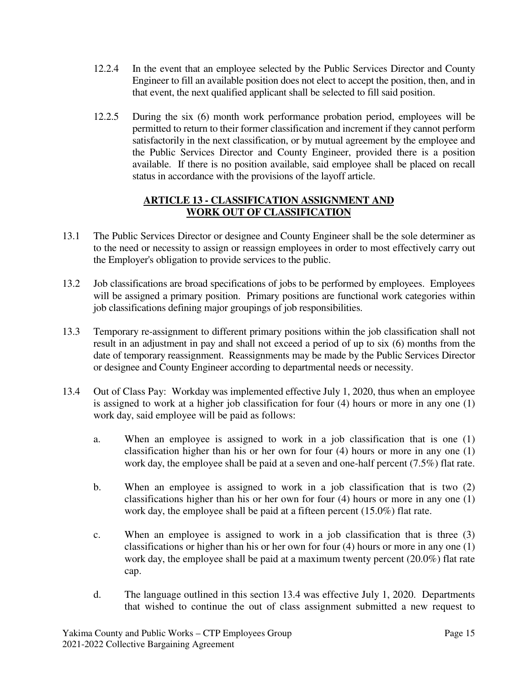- 12.2.4 In the event that an employee selected by the Public Services Director and County Engineer to fill an available position does not elect to accept the position, then, and in that event, the next qualified applicant shall be selected to fill said position.
- 12.2.5 During the six (6) month work performance probation period, employees will be permitted to return to their former classification and increment if they cannot perform satisfactorily in the next classification, or by mutual agreement by the employee and the Public Services Director and County Engineer, provided there is a position available. If there is no position available, said employee shall be placed on recall status in accordance with the provisions of the layoff article.

## **ARTICLE 13 - CLASSIFICATION ASSIGNMENT AND WORK OUT OF CLASSIFICATION**

- 13.1 The Public Services Director or designee and County Engineer shall be the sole determiner as to the need or necessity to assign or reassign employees in order to most effectively carry out the Employer's obligation to provide services to the public.
- 13.2 Job classifications are broad specifications of jobs to be performed by employees. Employees will be assigned a primary position. Primary positions are functional work categories within job classifications defining major groupings of job responsibilities.
- 13.3 Temporary re-assignment to different primary positions within the job classification shall not result in an adjustment in pay and shall not exceed a period of up to six (6) months from the date of temporary reassignment. Reassignments may be made by the Public Services Director or designee and County Engineer according to departmental needs or necessity.
- 13.4 Out of Class Pay: Workday was implemented effective July 1, 2020, thus when an employee is assigned to work at a higher job classification for four (4) hours or more in any one (1) work day, said employee will be paid as follows:
	- a. When an employee is assigned to work in a job classification that is one (1) classification higher than his or her own for four  $(4)$  hours or more in any one  $(1)$ work day, the employee shall be paid at a seven and one-half percent (7.5%) flat rate.
	- b. When an employee is assigned to work in a job classification that is two (2) classifications higher than his or her own for four (4) hours or more in any one (1) work day, the employee shall be paid at a fifteen percent (15.0%) flat rate.
	- c. When an employee is assigned to work in a job classification that is three (3) classifications or higher than his or her own for four (4) hours or more in any one (1) work day, the employee shall be paid at a maximum twenty percent (20.0%) flat rate cap.
	- d. The language outlined in this section 13.4 was effective July 1, 2020. Departments that wished to continue the out of class assignment submitted a new request to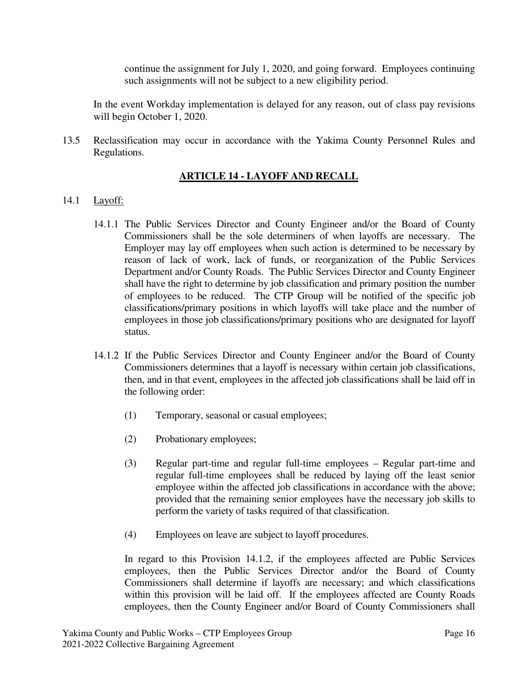continue the assignment for July 1, 2020, and going forward. Employees continuing such assignments will not be subject to a new eligibility period.

In the event Workday implementation is delayed for any reason, out of class pay revisions will begin October 1, 2020.

13.5 Reclassification may occur in accordance with the Yakima County Personnel Rules and Regulations.

# **ARTICLE 14 - LAYOFF AND RECALL**

#### 14.1 Layoff:

- 14.1.1 The Public Services Director and County Engineer and/or the Board of County Commissioners shall be the sole determiners of when layoffs are necessary. The Employer may lay off employees when such action is determined to be necessary by reason of lack of work, lack of funds, or reorganization of the Public Services Department and/or County Roads. The Public Services Director and County Engineer shall have the right to determine by job classification and primary position the number of employees to be reduced. The CTP Group will be notified of the specific job classifications/primary positions in which layoffs will take place and the number of employees in those job classifications/primary positions who are designated for layoff status.
- 14.1.2 If the Public Services Director and County Engineer and/or the Board of County Commissioners determines that a layoff is necessary within certain job classifications, then, and in that event, employees in the affected job classifications shall be laid off in the following order:
	- (1) Temporary, seasonal or casual employees;
	- (2) Probationary employees;
	- (3) Regular part-time and regular full-time employees Regular part-time and regular full-time employees shall be reduced by laying off the least senior employee within the affected job classifications in accordance with the above; provided that the remaining senior employees have the necessary job skills to perform the variety of tasks required of that classification.
	- (4) Employees on leave are subject to layoff procedures.

In regard to this Provision 14.1.2, if the employees affected are Public Services employees, then the Public Services Director and/or the Board of County Commissioners shall determine if layoffs are necessary; and which classifications within this provision will be laid off. If the employees affected are County Roads employees, then the County Engineer and/or Board of County Commissioners shall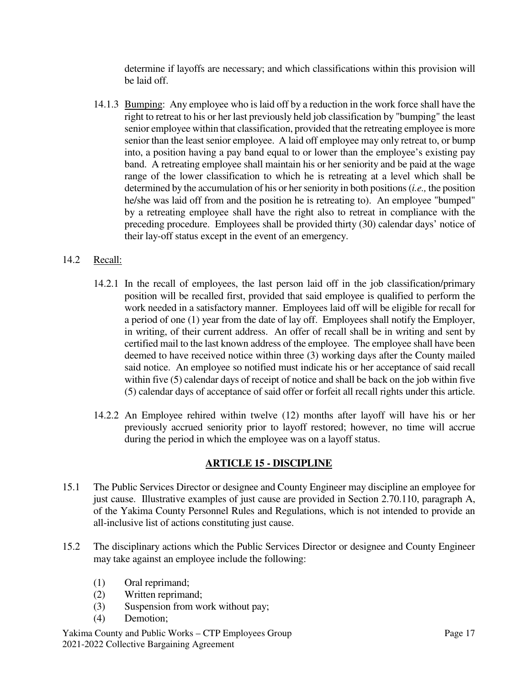determine if layoffs are necessary; and which classifications within this provision will be laid off.

14.1.3 Bumping: Any employee who is laid off by a reduction in the work force shall have the right to retreat to his or her last previously held job classification by "bumping" the least senior employee within that classification, provided that the retreating employee is more senior than the least senior employee. A laid off employee may only retreat to, or bump into, a position having a pay band equal to or lower than the employee's existing pay band. A retreating employee shall maintain his or her seniority and be paid at the wage range of the lower classification to which he is retreating at a level which shall be determined by the accumulation of his or her seniority in both positions (*i.e.,* the position he/she was laid off from and the position he is retreating to). An employee "bumped" by a retreating employee shall have the right also to retreat in compliance with the preceding procedure. Employees shall be provided thirty (30) calendar days' notice of their lay-off status except in the event of an emergency.

## 14.2 Recall:

- 14.2.1 In the recall of employees, the last person laid off in the job classification/primary position will be recalled first, provided that said employee is qualified to perform the work needed in a satisfactory manner. Employees laid off will be eligible for recall for a period of one (1) year from the date of lay off. Employees shall notify the Employer, in writing, of their current address. An offer of recall shall be in writing and sent by certified mail to the last known address of the employee. The employee shall have been deemed to have received notice within three (3) working days after the County mailed said notice. An employee so notified must indicate his or her acceptance of said recall within five (5) calendar days of receipt of notice and shall be back on the job within five (5) calendar days of acceptance of said offer or forfeit all recall rights under this article.
- 14.2.2 An Employee rehired within twelve (12) months after layoff will have his or her previously accrued seniority prior to layoff restored; however, no time will accrue during the period in which the employee was on a layoff status.

#### **ARTICLE 15 - DISCIPLINE**

- 15.1 The Public Services Director or designee and County Engineer may discipline an employee for just cause. Illustrative examples of just cause are provided in Section 2.70.110, paragraph A, of the Yakima County Personnel Rules and Regulations, which is not intended to provide an all-inclusive list of actions constituting just cause.
- 15.2 The disciplinary actions which the Public Services Director or designee and County Engineer may take against an employee include the following:
	- (1) Oral reprimand;
	- (2) Written reprimand;
	- (3) Suspension from work without pay;
	- (4) Demotion;

Yakima County and Public Works – CTP Employees Group Page 17 2021-2022 Collective Bargaining Agreement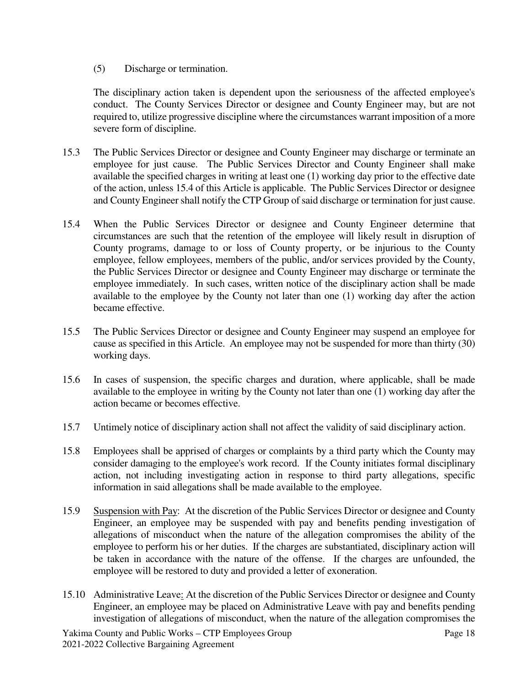(5) Discharge or termination.

The disciplinary action taken is dependent upon the seriousness of the affected employee's conduct. The County Services Director or designee and County Engineer may, but are not required to, utilize progressive discipline where the circumstances warrant imposition of a more severe form of discipline.

- 15.3 The Public Services Director or designee and County Engineer may discharge or terminate an employee for just cause. The Public Services Director and County Engineer shall make available the specified charges in writing at least one (1) working day prior to the effective date of the action, unless 15.4 of this Article is applicable. The Public Services Director or designee and County Engineer shall notify the CTP Group of said discharge or termination for just cause.
- 15.4 When the Public Services Director or designee and County Engineer determine that circumstances are such that the retention of the employee will likely result in disruption of County programs, damage to or loss of County property, or be injurious to the County employee, fellow employees, members of the public, and/or services provided by the County, the Public Services Director or designee and County Engineer may discharge or terminate the employee immediately. In such cases, written notice of the disciplinary action shall be made available to the employee by the County not later than one (1) working day after the action became effective.
- 15.5 The Public Services Director or designee and County Engineer may suspend an employee for cause as specified in this Article. An employee may not be suspended for more than thirty (30) working days.
- 15.6 In cases of suspension, the specific charges and duration, where applicable, shall be made available to the employee in writing by the County not later than one (1) working day after the action became or becomes effective.
- 15.7 Untimely notice of disciplinary action shall not affect the validity of said disciplinary action.
- 15.8 Employees shall be apprised of charges or complaints by a third party which the County may consider damaging to the employee's work record. If the County initiates formal disciplinary action, not including investigating action in response to third party allegations, specific information in said allegations shall be made available to the employee.
- 15.9 Suspension with Pay: At the discretion of the Public Services Director or designee and County Engineer, an employee may be suspended with pay and benefits pending investigation of allegations of misconduct when the nature of the allegation compromises the ability of the employee to perform his or her duties. If the charges are substantiated, disciplinary action will be taken in accordance with the nature of the offense. If the charges are unfounded, the employee will be restored to duty and provided a letter of exoneration.
- 15.10 Administrative Leave: At the discretion of the Public Services Director or designee and County Engineer, an employee may be placed on Administrative Leave with pay and benefits pending investigation of allegations of misconduct, when the nature of the allegation compromises the

Yakima County and Public Works – CTP Employees Group Page 18 2021-2022 Collective Bargaining Agreement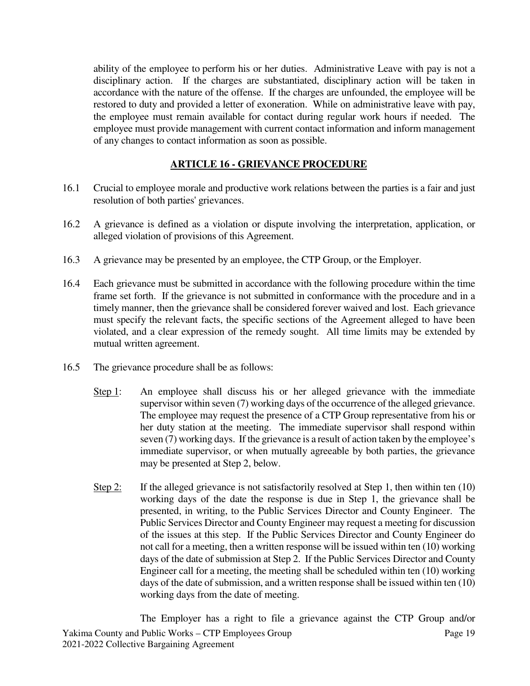ability of the employee to perform his or her duties. Administrative Leave with pay is not a disciplinary action. If the charges are substantiated, disciplinary action will be taken in accordance with the nature of the offense. If the charges are unfounded, the employee will be restored to duty and provided a letter of exoneration. While on administrative leave with pay, the employee must remain available for contact during regular work hours if needed. The employee must provide management with current contact information and inform management of any changes to contact information as soon as possible.

# **ARTICLE 16 - GRIEVANCE PROCEDURE**

- 16.1 Crucial to employee morale and productive work relations between the parties is a fair and just resolution of both parties' grievances.
- 16.2 A grievance is defined as a violation or dispute involving the interpretation, application, or alleged violation of provisions of this Agreement.
- 16.3 A grievance may be presented by an employee, the CTP Group, or the Employer.
- 16.4 Each grievance must be submitted in accordance with the following procedure within the time frame set forth. If the grievance is not submitted in conformance with the procedure and in a timely manner, then the grievance shall be considered forever waived and lost. Each grievance must specify the relevant facts, the specific sections of the Agreement alleged to have been violated, and a clear expression of the remedy sought. All time limits may be extended by mutual written agreement.
- 16.5 The grievance procedure shall be as follows:
	- Step 1: An employee shall discuss his or her alleged grievance with the immediate supervisor within seven (7) working days of the occurrence of the alleged grievance. The employee may request the presence of a CTP Group representative from his or her duty station at the meeting. The immediate supervisor shall respond within seven (7) working days. If the grievance is a result of action taken by the employee's immediate supervisor, or when mutually agreeable by both parties, the grievance may be presented at Step 2, below.
	- Step 2: If the alleged grievance is not satisfactorily resolved at Step 1, then within ten (10) working days of the date the response is due in Step 1, the grievance shall be presented, in writing, to the Public Services Director and County Engineer. The Public Services Director and County Engineer may request a meeting for discussion of the issues at this step. If the Public Services Director and County Engineer do not call for a meeting, then a written response will be issued within ten (10) working days of the date of submission at Step 2. If the Public Services Director and County Engineer call for a meeting, the meeting shall be scheduled within ten (10) working days of the date of submission, and a written response shall be issued within ten (10) working days from the date of meeting.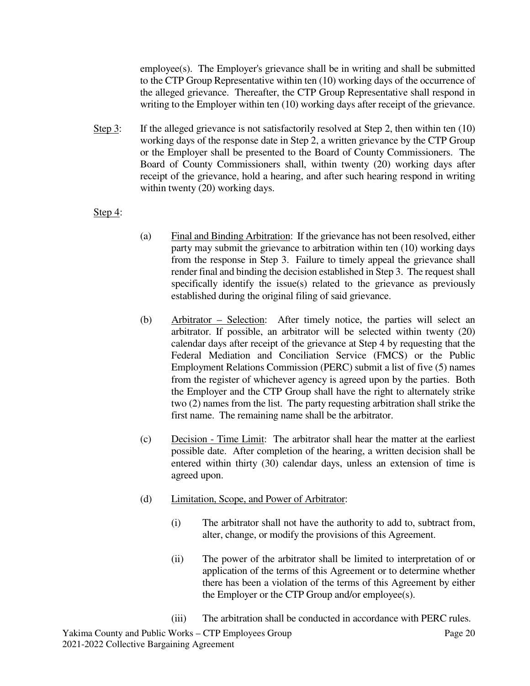employee(s). The Employer's grievance shall be in writing and shall be submitted to the CTP Group Representative within ten (10) working days of the occurrence of the alleged grievance. Thereafter, the CTP Group Representative shall respond in writing to the Employer within ten (10) working days after receipt of the grievance.

Step 3: If the alleged grievance is not satisfactorily resolved at Step 2, then within ten  $(10)$ working days of the response date in Step 2, a written grievance by the CTP Group or the Employer shall be presented to the Board of County Commissioners. The Board of County Commissioners shall, within twenty (20) working days after receipt of the grievance, hold a hearing, and after such hearing respond in writing within twenty (20) working days.

#### Step 4:

- (a) Final and Binding Arbitration: If the grievance has not been resolved, either party may submit the grievance to arbitration within ten (10) working days from the response in Step 3. Failure to timely appeal the grievance shall render final and binding the decision established in Step 3. The request shall specifically identify the issue(s) related to the grievance as previously established during the original filing of said grievance.
- (b) Arbitrator Selection: After timely notice, the parties will select an arbitrator. If possible, an arbitrator will be selected within twenty (20) calendar days after receipt of the grievance at Step 4 by requesting that the Federal Mediation and Conciliation Service (FMCS) or the Public Employment Relations Commission (PERC) submit a list of five (5) names from the register of whichever agency is agreed upon by the parties. Both the Employer and the CTP Group shall have the right to alternately strike two (2) names from the list. The party requesting arbitration shall strike the first name. The remaining name shall be the arbitrator.
- (c) Decision Time Limit: The arbitrator shall hear the matter at the earliest possible date. After completion of the hearing, a written decision shall be entered within thirty (30) calendar days, unless an extension of time is agreed upon.
- (d) Limitation, Scope, and Power of Arbitrator:
	- (i) The arbitrator shall not have the authority to add to, subtract from, alter, change, or modify the provisions of this Agreement.
	- (ii) The power of the arbitrator shall be limited to interpretation of or application of the terms of this Agreement or to determine whether there has been a violation of the terms of this Agreement by either the Employer or the CTP Group and/or employee(s).
	- (iii) The arbitration shall be conducted in accordance with PERC rules.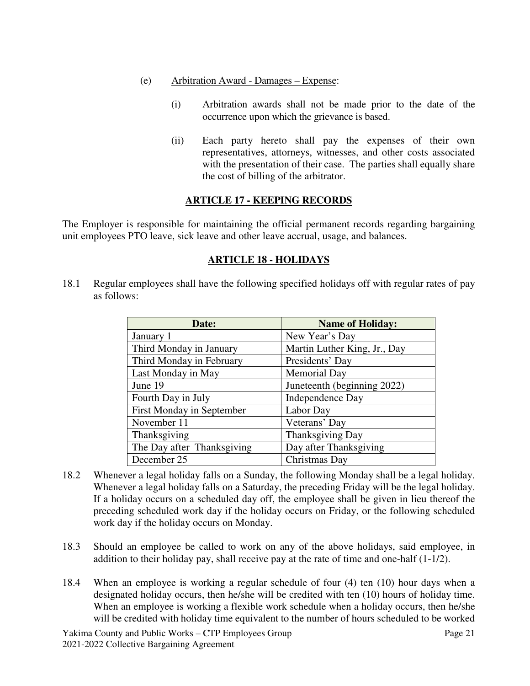- (e) Arbitration Award Damages Expense:
	- (i) Arbitration awards shall not be made prior to the date of the occurrence upon which the grievance is based.
	- (ii) Each party hereto shall pay the expenses of their own representatives, attorneys, witnesses, and other costs associated with the presentation of their case. The parties shall equally share the cost of billing of the arbitrator.

# **ARTICLE 17 - KEEPING RECORDS**

The Employer is responsible for maintaining the official permanent records regarding bargaining unit employees PTO leave, sick leave and other leave accrual, usage, and balances.

# **ARTICLE 18 - HOLIDAYS**

18.1 Regular employees shall have the following specified holidays off with regular rates of pay as follows:

| Date:                      | <b>Name of Holiday:</b>      |  |  |  |  |  |
|----------------------------|------------------------------|--|--|--|--|--|
| January 1                  | New Year's Day               |  |  |  |  |  |
| Third Monday in January    | Martin Luther King, Jr., Day |  |  |  |  |  |
| Third Monday in February   | Presidents' Day              |  |  |  |  |  |
| Last Monday in May         | Memorial Day                 |  |  |  |  |  |
| June 19                    | Juneteenth (beginning 2022)  |  |  |  |  |  |
| Fourth Day in July         | <b>Independence Day</b>      |  |  |  |  |  |
| First Monday in September  | Labor Day                    |  |  |  |  |  |
| November 11                | Veterans' Day                |  |  |  |  |  |
| Thanksgiving               | Thanksgiving Day             |  |  |  |  |  |
| The Day after Thanksgiving | Day after Thanksgiving       |  |  |  |  |  |
| December 25                | Christmas Day                |  |  |  |  |  |

- 18.2 Whenever a legal holiday falls on a Sunday, the following Monday shall be a legal holiday. Whenever a legal holiday falls on a Saturday, the preceding Friday will be the legal holiday. If a holiday occurs on a scheduled day off, the employee shall be given in lieu thereof the preceding scheduled work day if the holiday occurs on Friday, or the following scheduled work day if the holiday occurs on Monday.
- 18.3 Should an employee be called to work on any of the above holidays, said employee, in addition to their holiday pay, shall receive pay at the rate of time and one-half (1-1/2).
- 18.4 When an employee is working a regular schedule of four (4) ten (10) hour days when a designated holiday occurs, then he/she will be credited with ten (10) hours of holiday time. When an employee is working a flexible work schedule when a holiday occurs, then he/she will be credited with holiday time equivalent to the number of hours scheduled to be worked

Yakima County and Public Works – CTP Employees Group Page 21 2021-2022 Collective Bargaining Agreement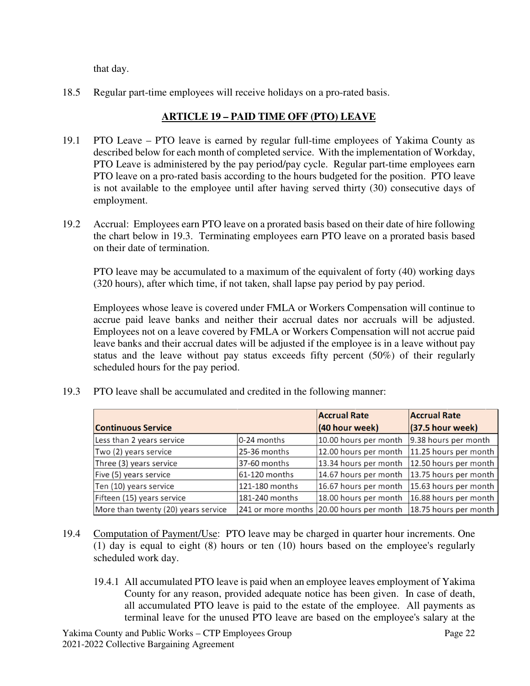that day.

18.5 Regular part-time employees will receive holidays on a pro-rated basis.

# **ARTICLE 19 – PAID TIME OFF (PTO) LEAVE**

- 19.1 PTO Leave PTO leave is earned by regular full-time employees of Yakima County as described below for each month of completed service. With the implementation of Workday, PTO Leave is administered by the pay period/pay cycle. Regular part-time employees earn PTO leave on a pro-rated basis according to the hours budgeted for the position. PTO leave is not available to the employee until after having served thirty (30) consecutive days of employment.
- 19.2 Accrual: Employees earn PTO leave on a prorated basis based on their date of hire following the chart below in 19.3. Terminating employees earn PTO leave on a prorated basis based on their date of termination.

PTO leave may be accumulated to a maximum of the equivalent of forty (40) working days (320 hours), after which time, if not taken, shall lapse pay period by pay period.

Employees whose leave is covered under FMLA or Workers Compensation will continue to accrue paid leave banks and neither their accrual dates nor accruals will be adjusted. Employees not on a leave covered by FMLA or Workers Compensation will not accrue paid leave banks and their accrual dates will be adjusted if the employee is in a leave without pay status and the leave without pay status exceeds fifty percent (50%) of their regularly scheduled hours for the pay period.

|                                     |                | <b>Accrual Rate</b>                      | <b>Accrual Rate</b>   |
|-------------------------------------|----------------|------------------------------------------|-----------------------|
| <b>Continuous Service</b>           | (40 hour week) | $(37.5$ hour week)                       |                       |
| Less than 2 years service           | 0-24 months    | 10.00 hours per month                    | 9.38 hours per month  |
| Two (2) years service               | 25-36 months   | 12.00 hours per month                    | 11.25 hours per month |
| Three (3) years service             | 37-60 months   | 13.34 hours per month                    | 12.50 hours per month |
| Five (5) years service              | 61-120 months  | 14.67 hours per month                    | 13.75 hours per month |
| Ten (10) years service              | 121-180 months | 16.67 hours per month                    | 15.63 hours per month |
| Fifteen (15) years service          | 181-240 months | 18.00 hours per month                    | 16.88 hours per month |
| More than twenty (20) years service |                | 241 or more months 20.00 hours per month | 18.75 hours per month |

19.3 PTO leave shall be accumulated and credited in the following manner:

- 19.4 Computation of Payment/Use: PTO leave may be charged in quarter hour increments. One (1) day is equal to eight (8) hours or ten (10) hours based on the employee's regularly scheduled work day.
	- 19.4.1 All accumulated PTO leave is paid when an employee leaves employment of Yakima County for any reason, provided adequate notice has been given. In case of death, all accumulated PTO leave is paid to the estate of the employee. All payments as terminal leave for the unused PTO leave are based on the employee's salary at the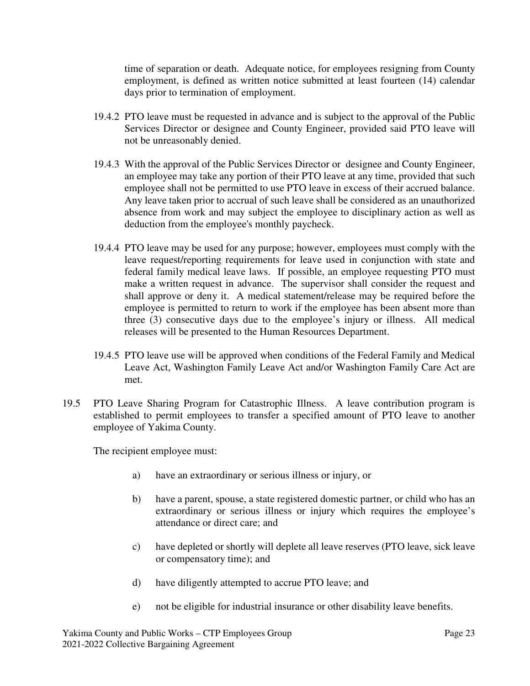time of separation or death. Adequate notice, for employees resigning from County employment, is defined as written notice submitted at least fourteen (14) calendar days prior to termination of employment.

- 19.4.2 PTO leave must be requested in advance and is subject to the approval of the Public Services Director or designee and County Engineer, provided said PTO leave will not be unreasonably denied.
- 19.4.3 With the approval of the Public Services Director or designee and County Engineer, an employee may take any portion of their PTO leave at any time, provided that such employee shall not be permitted to use PTO leave in excess of their accrued balance. Any leave taken prior to accrual of such leave shall be considered as an unauthorized absence from work and may subject the employee to disciplinary action as well as deduction from the employee's monthly paycheck.
- 19.4.4 PTO leave may be used for any purpose; however, employees must comply with the leave request/reporting requirements for leave used in conjunction with state and federal family medical leave laws. If possible, an employee requesting PTO must make a written request in advance. The supervisor shall consider the request and shall approve or deny it. A medical statement/release may be required before the employee is permitted to return to work if the employee has been absent more than three (3) consecutive days due to the employee's injury or illness. All medical releases will be presented to the Human Resources Department.
- 19.4.5 PTO leave use will be approved when conditions of the Federal Family and Medical Leave Act, Washington Family Leave Act and/or Washington Family Care Act are met.
- 19.5 PTO Leave Sharing Program for Catastrophic Illness. A leave contribution program is established to permit employees to transfer a specified amount of PTO leave to another employee of Yakima County.

The recipient employee must:

- a) have an extraordinary or serious illness or injury, or
- b) have a parent, spouse, a state registered domestic partner, or child who has an extraordinary or serious illness or injury which requires the employee's attendance or direct care; and
- c) have depleted or shortly will deplete all leave reserves (PTO leave, sick leave or compensatory time); and
- d) have diligently attempted to accrue PTO leave; and
- e) not be eligible for industrial insurance or other disability leave benefits.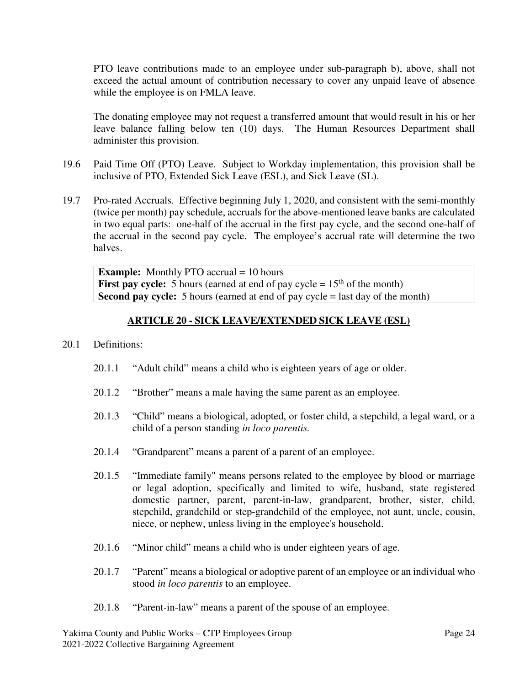PTO leave contributions made to an employee under sub-paragraph b), above, shall not exceed the actual amount of contribution necessary to cover any unpaid leave of absence while the employee is on FMLA leave.

The donating employee may not request a transferred amount that would result in his or her leave balance falling below ten (10) days. The Human Resources Department shall administer this provision.

- 19.6 Paid Time Off (PTO) Leave. Subject to Workday implementation, this provision shall be inclusive of PTO, Extended Sick Leave (ESL), and Sick Leave (SL).
- 19.7 Pro-rated Accruals. Effective beginning July 1, 2020, and consistent with the semi-monthly (twice per month) pay schedule, accruals for the above-mentioned leave banks are calculated in two equal parts: one-half of the accrual in the first pay cycle, and the second one-half of the accrual in the second pay cycle. The employee's accrual rate will determine the two halves.

**Example:** Monthly PTO accrual = 10 hours **First pay cycle:** 5 hours (earned at end of pay cycle  $= 15<sup>th</sup>$  of the month) **Second pay cycle:** 5 hours (earned at end of pay cycle = last day of the month)

## **ARTICLE 20 - SICK LEAVE/EXTENDED SICK LEAVE (ESL)**

#### 20.1 Definitions:

- 20.1.1 "Adult child" means a child who is eighteen years of age or older.
- 20.1.2 "Brother" means a male having the same parent as an employee.
- 20.1.3 "Child" means a biological, adopted, or foster child, a stepchild, a legal ward, or a child of a person standing *in loco parentis.*
- 20.1.4 "Grandparent" means a parent of a parent of an employee.
- 20.1.5 "Immediate family" means persons related to the employee by blood or marriage or legal adoption, specifically and limited to wife, husband, state registered domestic partner, parent, parent-in-law, grandparent, brother, sister, child, stepchild, grandchild or step-grandchild of the employee, not aunt, uncle, cousin, niece, or nephew, unless living in the employee's household.
- 20.1.6 "Minor child" means a child who is under eighteen years of age.
- 20.1.7 "Parent" means a biological or adoptive parent of an employee or an individual who stood *in loco parentis* to an employee.
- 20.1.8 "Parent-in-law" means a parent of the spouse of an employee.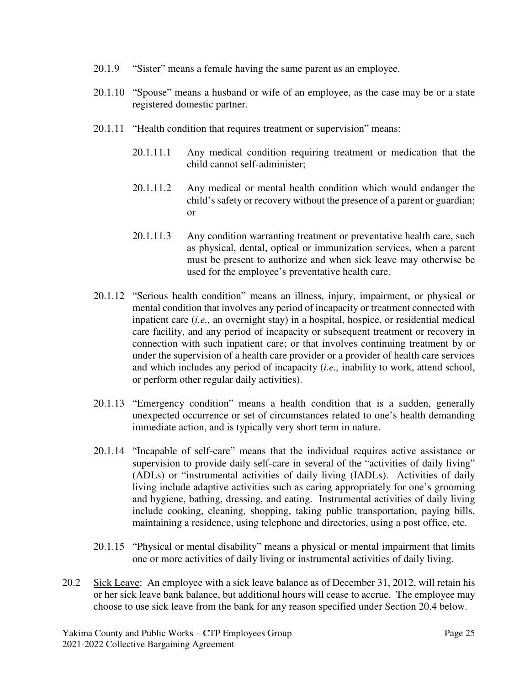- 20.1.9 "Sister" means a female having the same parent as an employee.
- 20.1.10 "Spouse" means a husband or wife of an employee, as the case may be or a state registered domestic partner.
- 20.1.11 "Health condition that requires treatment or supervision" means:
	- 20.1.11.1 Any medical condition requiring treatment or medication that the child cannot self-administer;
	- 20.1.11.2 Any medical or mental health condition which would endanger the child's safety or recovery without the presence of a parent or guardian; or
	- 20.1.11.3 Any condition warranting treatment or preventative health care, such as physical, dental, optical or immunization services, when a parent must be present to authorize and when sick leave may otherwise be used for the employee's preventative health care.
- 20.1.12 "Serious health condition" means an illness, injury, impairment, or physical or mental condition that involves any period of incapacity or treatment connected with inpatient care (*i.e.,* an overnight stay) in a hospital, hospice, or residential medical care facility, and any period of incapacity or subsequent treatment or recovery in connection with such inpatient care; or that involves continuing treatment by or under the supervision of a health care provider or a provider of health care services and which includes any period of incapacity (*i.e.,* inability to work, attend school, or perform other regular daily activities).
- 20.1.13 "Emergency condition" means a health condition that is a sudden, generally unexpected occurrence or set of circumstances related to one's health demanding immediate action, and is typically very short term in nature.
- 20.1.14 "Incapable of self-care" means that the individual requires active assistance or supervision to provide daily self-care in several of the "activities of daily living" (ADLs) or "instrumental activities of daily living (IADLs). Activities of daily living include adaptive activities such as caring appropriately for one's grooming and hygiene, bathing, dressing, and eating. Instrumental activities of daily living include cooking, cleaning, shopping, taking public transportation, paying bills, maintaining a residence, using telephone and directories, using a post office, etc.
- 20.1.15 "Physical or mental disability" means a physical or mental impairment that limits one or more activities of daily living or instrumental activities of daily living.
- 20.2 Sick Leave: An employee with a sick leave balance as of December 31, 2012, will retain his or her sick leave bank balance, but additional hours will cease to accrue. The employee may choose to use sick leave from the bank for any reason specified under Section 20.4 below.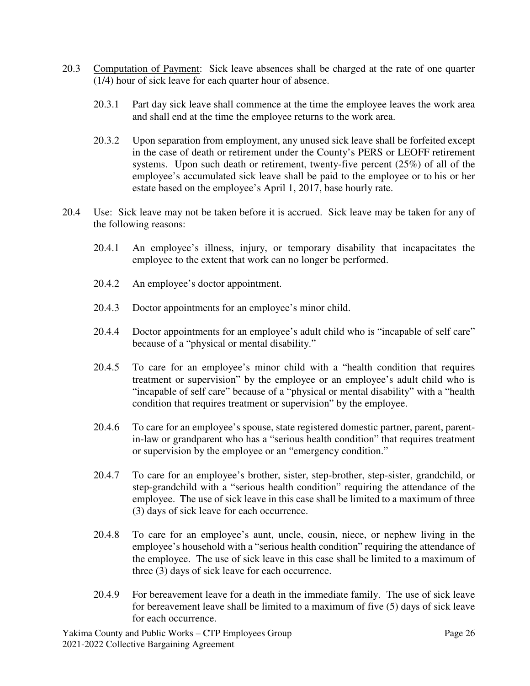- 20.3 Computation of Payment: Sick leave absences shall be charged at the rate of one quarter (1/4) hour of sick leave for each quarter hour of absence.
	- 20.3.1 Part day sick leave shall commence at the time the employee leaves the work area and shall end at the time the employee returns to the work area.
	- 20.3.2 Upon separation from employment, any unused sick leave shall be forfeited except in the case of death or retirement under the County's PERS or LEOFF retirement systems. Upon such death or retirement, twenty-five percent (25%) of all of the employee's accumulated sick leave shall be paid to the employee or to his or her estate based on the employee's April 1, 2017, base hourly rate.
- 20.4 Use: Sick leave may not be taken before it is accrued. Sick leave may be taken for any of the following reasons:
	- 20.4.1 An employee's illness, injury, or temporary disability that incapacitates the employee to the extent that work can no longer be performed.
	- 20.4.2 An employee's doctor appointment.
	- 20.4.3 Doctor appointments for an employee's minor child.
	- 20.4.4 Doctor appointments for an employee's adult child who is "incapable of self care" because of a "physical or mental disability."
	- 20.4.5 To care for an employee's minor child with a "health condition that requires treatment or supervision" by the employee or an employee's adult child who is "incapable of self care" because of a "physical or mental disability" with a "health condition that requires treatment or supervision" by the employee.
	- 20.4.6 To care for an employee's spouse, state registered domestic partner, parent, parentin-law or grandparent who has a "serious health condition" that requires treatment or supervision by the employee or an "emergency condition."
	- 20.4.7 To care for an employee's brother, sister, step-brother, step-sister, grandchild, or step-grandchild with a "serious health condition" requiring the attendance of the employee. The use of sick leave in this case shall be limited to a maximum of three (3) days of sick leave for each occurrence.
	- 20.4.8 To care for an employee's aunt, uncle, cousin, niece, or nephew living in the employee's household with a "serious health condition" requiring the attendance of the employee. The use of sick leave in this case shall be limited to a maximum of three (3) days of sick leave for each occurrence.
	- 20.4.9 For bereavement leave for a death in the immediate family. The use of sick leave for bereavement leave shall be limited to a maximum of five (5) days of sick leave for each occurrence.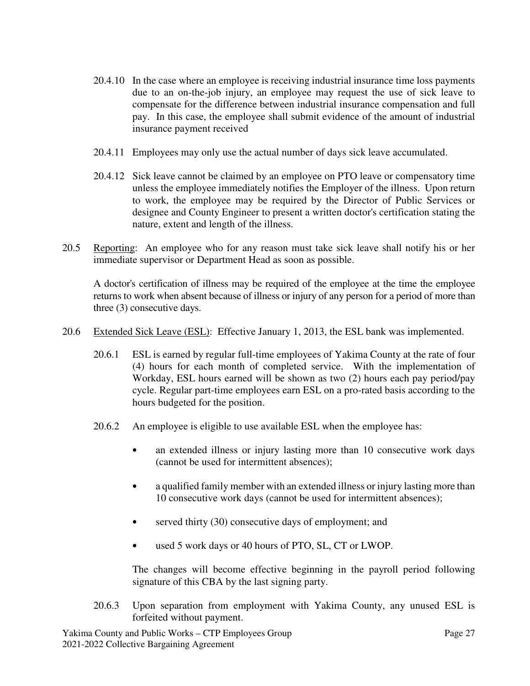- 20.4.10 In the case where an employee is receiving industrial insurance time loss payments due to an on-the-job injury, an employee may request the use of sick leave to compensate for the difference between industrial insurance compensation and full pay. In this case, the employee shall submit evidence of the amount of industrial insurance payment received
- 20.4.11 Employees may only use the actual number of days sick leave accumulated.
- 20.4.12 Sick leave cannot be claimed by an employee on PTO leave or compensatory time unless the employee immediately notifies the Employer of the illness. Upon return to work, the employee may be required by the Director of Public Services or designee and County Engineer to present a written doctor's certification stating the nature, extent and length of the illness.
- 20.5 Reporting: An employee who for any reason must take sick leave shall notify his or her immediate supervisor or Department Head as soon as possible.

A doctor's certification of illness may be required of the employee at the time the employee returns to work when absent because of illness or injury of any person for a period of more than three (3) consecutive days.

- 20.6 Extended Sick Leave (ESL): Effective January 1, 2013, the ESL bank was implemented.
	- 20.6.1 ESL is earned by regular full-time employees of Yakima County at the rate of four (4) hours for each month of completed service. With the implementation of Workday, ESL hours earned will be shown as two (2) hours each pay period/pay cycle. Regular part-time employees earn ESL on a pro-rated basis according to the hours budgeted for the position.
	- 20.6.2 An employee is eligible to use available ESL when the employee has:
		- an extended illness or injury lasting more than 10 consecutive work days (cannot be used for intermittent absences);
		- a qualified family member with an extended illness or injury lasting more than 10 consecutive work days (cannot be used for intermittent absences);
		- served thirty (30) consecutive days of employment; and
		- used 5 work days or 40 hours of PTO, SL, CT or LWOP.

The changes will become effective beginning in the payroll period following signature of this CBA by the last signing party.

20.6.3 Upon separation from employment with Yakima County, any unused ESL is forfeited without payment.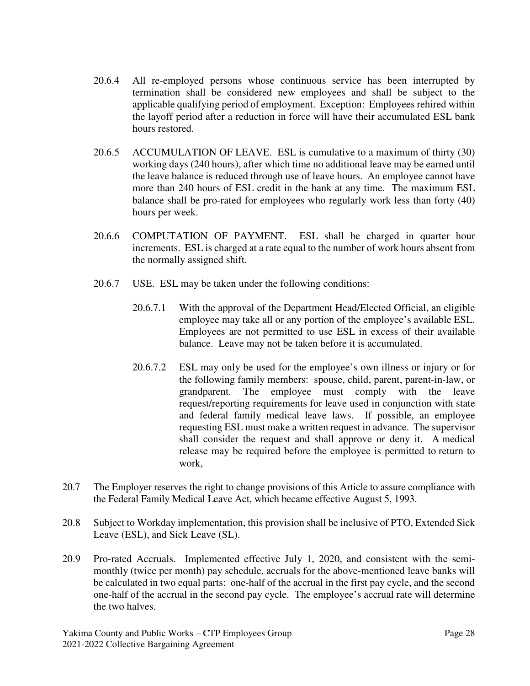- 20.6.4 All re-employed persons whose continuous service has been interrupted by termination shall be considered new employees and shall be subject to the applicable qualifying period of employment. Exception: Employees rehired within the layoff period after a reduction in force will have their accumulated ESL bank hours restored.
- 20.6.5 ACCUMULATION OF LEAVE. ESL is cumulative to a maximum of thirty (30) working days (240 hours), after which time no additional leave may be earned until the leave balance is reduced through use of leave hours. An employee cannot have more than 240 hours of ESL credit in the bank at any time. The maximum ESL balance shall be pro-rated for employees who regularly work less than forty (40) hours per week.
- 20.6.6 COMPUTATION OF PAYMENT. ESL shall be charged in quarter hour increments. ESL is charged at a rate equal to the number of work hours absent from the normally assigned shift.
- 20.6.7 USE. ESL may be taken under the following conditions:
	- 20.6.7.1 With the approval of the Department Head/Elected Official, an eligible employee may take all or any portion of the employee's available ESL. Employees are not permitted to use ESL in excess of their available balance. Leave may not be taken before it is accumulated.
	- 20.6.7.2 ESL may only be used for the employee's own illness or injury or for the following family members: spouse, child, parent, parent-in-law, or grandparent. The employee must comply with the leave request/reporting requirements for leave used in conjunction with state and federal family medical leave laws. If possible, an employee requesting ESL must make a written request in advance. The supervisor shall consider the request and shall approve or deny it. A medical release may be required before the employee is permitted to return to work,
- 20.7 The Employer reserves the right to change provisions of this Article to assure compliance with the Federal Family Medical Leave Act, which became effective August 5, 1993.
- 20.8 Subject to Workday implementation, this provision shall be inclusive of PTO, Extended Sick Leave (ESL), and Sick Leave (SL).
- 20.9 Pro-rated Accruals. Implemented effective July 1, 2020, and consistent with the semimonthly (twice per month) pay schedule, accruals for the above-mentioned leave banks will be calculated in two equal parts: one-half of the accrual in the first pay cycle, and the second one-half of the accrual in the second pay cycle. The employee's accrual rate will determine the two halves.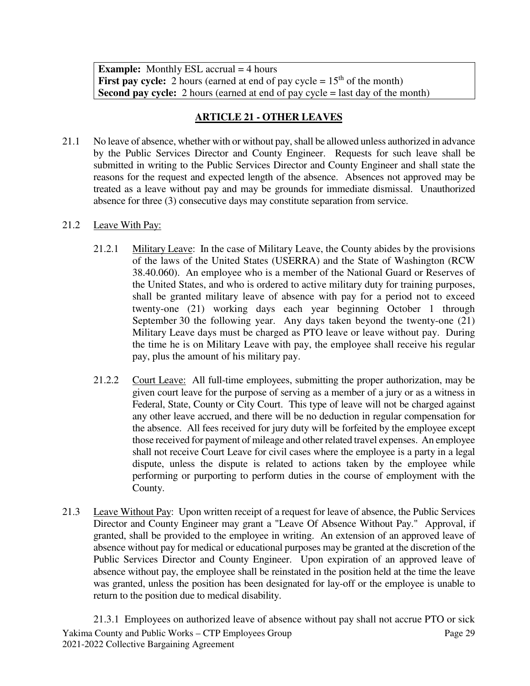**Example:** Monthly ESL accrual = 4 hours **First pay cycle:** 2 hours (earned at end of pay cycle  $= 15<sup>th</sup>$  of the month) **Second pay cycle:** 2 hours (earned at end of pay cycle = last day of the month)

## **ARTICLE 21 - OTHER LEAVES**

- 21.1 No leave of absence, whether with or without pay, shall be allowed unless authorized in advance by the Public Services Director and County Engineer. Requests for such leave shall be submitted in writing to the Public Services Director and County Engineer and shall state the reasons for the request and expected length of the absence. Absences not approved may be treated as a leave without pay and may be grounds for immediate dismissal. Unauthorized absence for three (3) consecutive days may constitute separation from service.
- 21.2 Leave With Pay:
	- 21.2.1 Military Leave: In the case of Military Leave, the County abides by the provisions of the laws of the United States (USERRA) and the State of Washington (RCW 38.40.060). An employee who is a member of the National Guard or Reserves of the United States, and who is ordered to active military duty for training purposes, shall be granted military leave of absence with pay for a period not to exceed twenty-one (21) working days each year beginning October 1 through September 30 the following year. Any days taken beyond the twenty-one (21) Military Leave days must be charged as PTO leave or leave without pay. During the time he is on Military Leave with pay, the employee shall receive his regular pay, plus the amount of his military pay.
	- 21.2.2 Court Leave: All full-time employees, submitting the proper authorization, may be given court leave for the purpose of serving as a member of a jury or as a witness in Federal, State, County or City Court. This type of leave will not be charged against any other leave accrued, and there will be no deduction in regular compensation for the absence. All fees received for jury duty will be forfeited by the employee except those received for payment of mileage and other related travel expenses. An employee shall not receive Court Leave for civil cases where the employee is a party in a legal dispute, unless the dispute is related to actions taken by the employee while performing or purporting to perform duties in the course of employment with the County.
- 21.3 Leave Without Pay: Upon written receipt of a request for leave of absence, the Public Services Director and County Engineer may grant a "Leave Of Absence Without Pay." Approval, if granted, shall be provided to the employee in writing. An extension of an approved leave of absence without pay for medical or educational purposes may be granted at the discretion of the Public Services Director and County Engineer. Upon expiration of an approved leave of absence without pay, the employee shall be reinstated in the position held at the time the leave was granted, unless the position has been designated for lay-off or the employee is unable to return to the position due to medical disability.

Yakima County and Public Works – CTP Employees Group Page 29 2021-2022 Collective Bargaining Agreement 21.3.1 Employees on authorized leave of absence without pay shall not accrue PTO or sick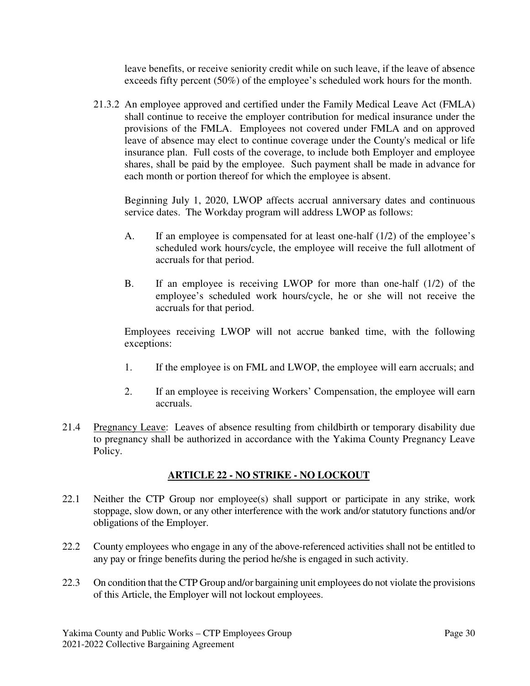leave benefits, or receive seniority credit while on such leave, if the leave of absence exceeds fifty percent (50%) of the employee's scheduled work hours for the month.

21.3.2 An employee approved and certified under the Family Medical Leave Act (FMLA) shall continue to receive the employer contribution for medical insurance under the provisions of the FMLA. Employees not covered under FMLA and on approved leave of absence may elect to continue coverage under the County's medical or life insurance plan. Full costs of the coverage, to include both Employer and employee shares, shall be paid by the employee. Such payment shall be made in advance for each month or portion thereof for which the employee is absent.

Beginning July 1, 2020, LWOP affects accrual anniversary dates and continuous service dates. The Workday program will address LWOP as follows:

- A. If an employee is compensated for at least one-half (1/2) of the employee's scheduled work hours/cycle, the employee will receive the full allotment of accruals for that period.
- B. If an employee is receiving LWOP for more than one-half (1/2) of the employee's scheduled work hours/cycle, he or she will not receive the accruals for that period.

Employees receiving LWOP will not accrue banked time, with the following exceptions:

- 1. If the employee is on FML and LWOP, the employee will earn accruals; and
- 2. If an employee is receiving Workers' Compensation, the employee will earn accruals.
- 21.4 Pregnancy Leave: Leaves of absence resulting from childbirth or temporary disability due to pregnancy shall be authorized in accordance with the Yakima County Pregnancy Leave Policy.

# **ARTICLE 22 - NO STRIKE - NO LOCKOUT**

- 22.1 Neither the CTP Group nor employee(s) shall support or participate in any strike, work stoppage, slow down, or any other interference with the work and/or statutory functions and/or obligations of the Employer.
- 22.2 County employees who engage in any of the above-referenced activities shall not be entitled to any pay or fringe benefits during the period he/she is engaged in such activity.
- 22.3 On condition that the CTP Group and/or bargaining unit employees do not violate the provisions of this Article, the Employer will not lockout employees.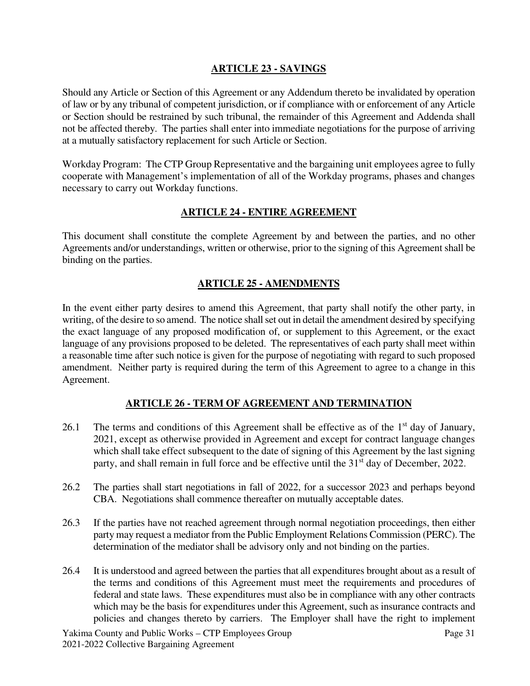### **ARTICLE 23 - SAVINGS**

Should any Article or Section of this Agreement or any Addendum thereto be invalidated by operation of law or by any tribunal of competent jurisdiction, or if compliance with or enforcement of any Article or Section should be restrained by such tribunal, the remainder of this Agreement and Addenda shall not be affected thereby. The parties shall enter into immediate negotiations for the purpose of arriving at a mutually satisfactory replacement for such Article or Section.

Workday Program: The CTP Group Representative and the bargaining unit employees agree to fully cooperate with Management's implementation of all of the Workday programs, phases and changes necessary to carry out Workday functions.

### **ARTICLE 24 - ENTIRE AGREEMENT**

This document shall constitute the complete Agreement by and between the parties, and no other Agreements and/or understandings, written or otherwise, prior to the signing of this Agreement shall be binding on the parties.

### **ARTICLE 25 - AMENDMENTS**

In the event either party desires to amend this Agreement, that party shall notify the other party, in writing, of the desire to so amend. The notice shall set out in detail the amendment desired by specifying the exact language of any proposed modification of, or supplement to this Agreement, or the exact language of any provisions proposed to be deleted. The representatives of each party shall meet within a reasonable time after such notice is given for the purpose of negotiating with regard to such proposed amendment. Neither party is required during the term of this Agreement to agree to a change in this Agreement.

## **ARTICLE 26 - TERM OF AGREEMENT AND TERMINATION**

- 26.1 The terms and conditions of this Agreement shall be effective as of the  $1<sup>st</sup>$  day of January, 2021, except as otherwise provided in Agreement and except for contract language changes which shall take effect subsequent to the date of signing of this Agreement by the last signing party, and shall remain in full force and be effective until the 31<sup>st</sup> day of December, 2022.
- 26.2 The parties shall start negotiations in fall of 2022, for a successor 2023 and perhaps beyond CBA. Negotiations shall commence thereafter on mutually acceptable dates.
- 26.3 If the parties have not reached agreement through normal negotiation proceedings, then either party may request a mediator from the Public Employment Relations Commission (PERC). The determination of the mediator shall be advisory only and not binding on the parties.
- 26.4 It is understood and agreed between the parties that all expenditures brought about as a result of the terms and conditions of this Agreement must meet the requirements and procedures of federal and state laws. These expenditures must also be in compliance with any other contracts which may be the basis for expenditures under this Agreement, such as insurance contracts and policies and changes thereto by carriers. The Employer shall have the right to implement

Yakima County and Public Works – CTP Employees Group Page 31 2021-2022 Collective Bargaining Agreement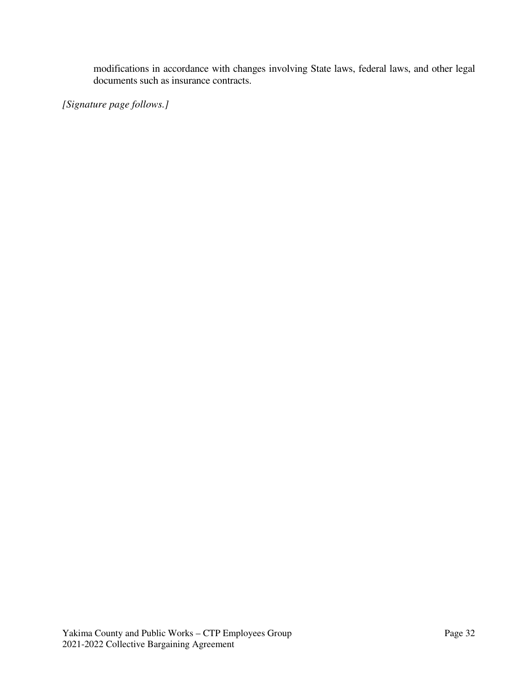modifications in accordance with changes involving State laws, federal laws, and other legal documents such as insurance contracts.

*[Signature page follows.]*   $\ddot{\phantom{0}}$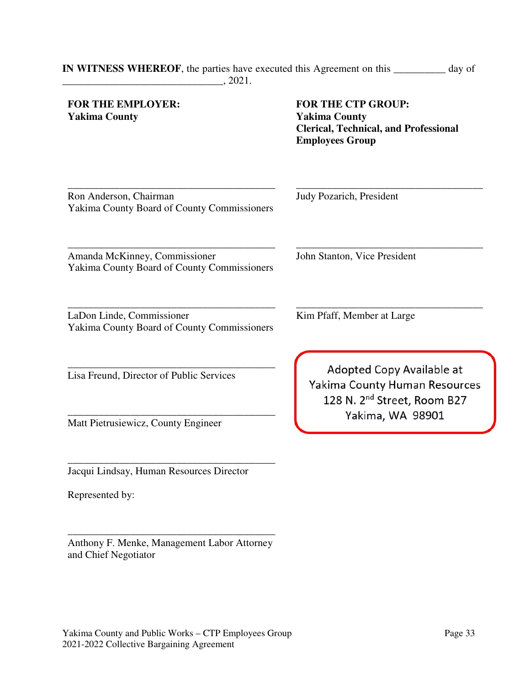### **FOR THE EMPLOYER: Yakima County**

 **FOR THE CTP GROUP: Yakima County Clerical, Technical, and Professional Employees Group**

\_\_\_\_\_\_\_\_\_\_\_\_\_\_\_\_\_\_\_\_\_\_\_\_\_\_\_\_\_\_\_\_\_\_\_\_\_\_\_\_ Ron Anderson, Chairman Yakima County Board of County Commissioners

\_\_\_\_\_\_\_\_\_\_\_\_\_\_\_\_\_\_\_\_\_\_\_\_\_\_\_\_\_\_\_\_\_\_\_\_ Judy Pozarich, President

\_\_\_\_\_\_\_\_\_\_\_\_\_\_\_\_\_\_\_\_\_\_\_\_\_\_\_\_\_\_\_\_\_\_\_\_\_\_\_\_ Amanda McKinney, Commissioner Yakima County Board of County Commissioners

LaDon Linde, Commissioner Yakima County Board of County Commissioners

\_\_\_\_\_\_\_\_\_\_\_\_\_\_\_\_\_\_\_\_\_\_\_\_\_\_\_\_\_\_\_\_\_\_\_\_\_\_\_\_

\_\_\_\_\_\_\_\_\_\_\_\_\_\_\_\_\_\_\_\_\_\_\_\_\_\_\_\_\_\_\_\_\_\_\_\_\_\_\_\_

\_\_\_\_\_\_\_\_\_\_\_\_\_\_\_\_\_\_\_\_\_\_\_\_\_\_\_\_\_\_\_\_\_\_\_\_\_\_\_\_ Lisa Freund, Director of Public Services

Matt Pietrusiewicz, County Engineer

\_\_\_\_\_\_\_\_\_\_\_\_\_\_\_\_\_\_\_\_\_\_\_\_\_\_\_\_\_\_\_\_\_\_\_\_\_\_\_\_ Jacqui Lindsay, Human Resources Director

Represented by:

\_\_\_\_\_\_\_\_\_\_\_\_\_\_\_\_\_\_\_\_\_\_\_\_\_\_\_\_\_\_\_\_\_\_\_\_\_\_\_\_ Anthony F. Menke, Management Labor Attorney and Chief Negotiator

John Stanton, Vice President

Kim Pfaff, Member at Large

Adopted Copy Available at Yakima County Human Resources 128 N. 2<sup>nd</sup> Street, Room B27 Yakima, WA 98901

\_\_\_\_\_\_\_\_\_\_\_\_\_\_\_\_\_\_\_\_\_\_\_\_\_\_\_\_\_\_\_\_\_\_\_\_

\_\_\_\_\_\_\_\_\_\_\_\_\_\_\_\_\_\_\_\_\_\_\_\_\_\_\_\_\_\_\_\_\_\_\_\_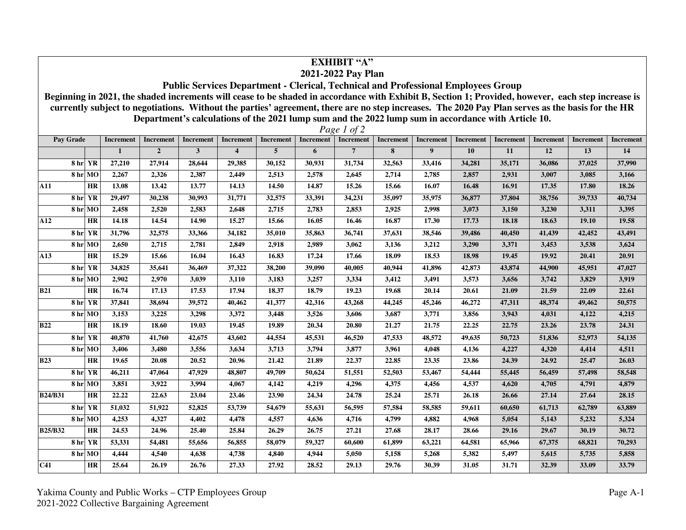| ЕХНІВІТ "А"<br>2021-2022 Pay Plan                                                                                                                  |                                                                                                     |              |                  |                  |                         |                  |                  |                  |                  |                  |           |                  |                  |                  |                  |
|----------------------------------------------------------------------------------------------------------------------------------------------------|-----------------------------------------------------------------------------------------------------|--------------|------------------|------------------|-------------------------|------------------|------------------|------------------|------------------|------------------|-----------|------------------|------------------|------------------|------------------|
| <b>Public Services Department - Clerical, Technical and Professional Employees Group</b>                                                           |                                                                                                     |              |                  |                  |                         |                  |                  |                  |                  |                  |           |                  |                  |                  |                  |
| Beginning in 2021, the shaded increments will cease to be shaded in accordance with Exhibit B, Section 1; Provided, however, each step increase is |                                                                                                     |              |                  |                  |                         |                  |                  |                  |                  |                  |           |                  |                  |                  |                  |
| currently subject to negotiations. Without the parties' agreement, there are no step increases. The 2020 Pay Plan serves as the basis for the HR   |                                                                                                     |              |                  |                  |                         |                  |                  |                  |                  |                  |           |                  |                  |                  |                  |
|                                                                                                                                                    | Department's calculations of the 2021 lump sum and the 2022 lump sum in accordance with Article 10. |              |                  |                  |                         |                  |                  |                  |                  |                  |           |                  |                  |                  |                  |
| Page 1 of 2                                                                                                                                        |                                                                                                     |              |                  |                  |                         |                  |                  |                  |                  |                  |           |                  |                  |                  |                  |
| Pay Grade                                                                                                                                          |                                                                                                     | Increment    | <b>Increment</b> | <b>Increment</b> | <b>Increment</b>        | <b>Increment</b> | <b>Increment</b> | <b>Increment</b> | <b>Increment</b> | Increment        | Increment | <b>Increment</b> | <b>Increment</b> | <b>Increment</b> | <b>Increment</b> |
|                                                                                                                                                    |                                                                                                     | $\mathbf{1}$ | $\overline{2}$   | $\mathbf{3}$     | $\overline{\mathbf{4}}$ | $\overline{5}$   | 6                | $\overline{7}$   | 8                | $\boldsymbol{9}$ | 10        | 11               | 12               | 13               | 14               |
|                                                                                                                                                    | 8 hr YR                                                                                             | 27,210       | 27,914           | 28,644           | 29,385                  | 30,152           | 30,931           | 31,734           | 32,563           | 33,416           | 34,281    | 35,171           | 36,086           | 37,025           | 37,990           |
|                                                                                                                                                    | 8 hr MO                                                                                             | 2,267        | 2,326            | 2,387            | 2,449                   | 2,513            | 2,578            | 2,645            | 2,714            | 2,785            | 2,857     | 2,931            | 3,007            | 3,085            | 3,166            |
| <b>A11</b>                                                                                                                                         | <b>HR</b>                                                                                           | 13.08        | 13.42            | 13.77            | 14.13                   | 14.50            | 14.87            | 15.26            | 15.66            | 16.07            | 16.48     | 16.91            | 17.35            | 17.80            | 18.26            |
|                                                                                                                                                    | 8 hr YR                                                                                             | 29,497       | 30,238           | 30,993           | 31,771                  | 32,575           | 33,391           | 34,231           | 35,097           | 35,975           | 36,877    | 37,804           | 38,756           | 39,733           | 40,734           |
|                                                                                                                                                    | 8 hr MO                                                                                             | 2,458        | 2,520            | 2,583            | 2,648                   | 2,715            | 2,783            | 2,853            | 2,925            | 2,998            | 3,073     | 3,150            | 3,230            | 3,311            | 3,395            |
| A12                                                                                                                                                | <b>HR</b>                                                                                           | 14.18        | 14.54            | 14.90            | 15.27                   | 15.66            | 16.05            | 16.46            | 16.87            | 17.30            | 17.73     | 18.18            | 18.63            | 19.10            | 19.58            |
|                                                                                                                                                    | 8 hr YR                                                                                             | 31,796       | 32,575           | 33,366           | 34,182                  | 35,010           | 35,863           | 36,741           | 37,631           | 38,546           | 39,486    | 40,450           | 41,439           | 42,452           | 43,491           |
|                                                                                                                                                    | 8 hr MO                                                                                             | 2,650        | 2,715            | 2,781            | 2,849                   | 2,918            | 2,989            | 3,062            | 3,136            | 3,212            | 3,290     | 3,371            | 3,453            | 3,538            | 3,624            |
| A13                                                                                                                                                | <b>HR</b>                                                                                           | 15.29        | 15.66            | 16.04            | 16.43                   | 16.83            | 17.24            | 17.66            | 18.09            | 18.53            | 18.98     | 19.45            | 19.92            | 20.41            | 20.91            |
|                                                                                                                                                    | 8 hr YR                                                                                             | 34,825       | 35,641           | 36,469           | 37,322                  | 38,200           | 39,090           | 40,005           | 40,944           | 41,896           | 42,873    | 43,874           | 44,900           | 45,951           | 47,027           |
|                                                                                                                                                    | 8 hr MO                                                                                             | 2,902        | 2,970            | 3,039            | 3,110                   | 3,183            | 3,257            | 3,334            | 3,412            | 3,491            | 3,573     | 3,656            | 3,742            | 3,829            | 3,919            |
| <b>B21</b>                                                                                                                                         | <b>HR</b>                                                                                           | 16.74        | 17.13            | 17.53            | 17.94                   | 18.37            | 18.79            | 19.23            | 19.68            | 20.14            | 20.61     | 21.09            | 21.59            | 22.09            | 22.61            |
|                                                                                                                                                    | 8 hr YR                                                                                             | 37,841       | 38,694           | 39,572           | 40,462                  | 41,377           | 42,316           | 43,268           | 44,245           | 45,246           | 46,272    | 47,311           | 48,374           | 49,462           | 50,575           |
|                                                                                                                                                    | 8 hr MO                                                                                             | 3,153        | 3,225            | 3,298            | 3,372                   | 3,448            | 3,526            | 3,606            | 3,687            | 3,771            | 3,856     | 3,943            | 4,031            | 4,122            | 4,215            |
| <b>B22</b>                                                                                                                                         | HR                                                                                                  | 18.19        | 18.60            | 19.03            | 19.45                   | 19.89            | 20.34            | 20.80            | 21.27            | 21.75            | 22.25     | 22.75            | 23.26            | 23.78            | 24.31            |
|                                                                                                                                                    | 8 hr YR                                                                                             | 40,870       | 41,760           | 42,675           | 43,602                  | 44,554           | 45,531           | 46,520           | 47,533           | 48,572           | 49,635    | 50,723           | 51,836           | 52,973           | 54,135           |
|                                                                                                                                                    | 8 hr MO                                                                                             | 3,406        | 3,480            | 3,556            | 3,634                   | 3,713            | 3,794            | 3,877            | 3,961            | 4,048            | 4,136     | 4,227            | 4,320            | 4,414            | 4,511            |
| <b>B23</b>                                                                                                                                         | <b>HR</b>                                                                                           | 19.65        | 20.08            | 20.52            | 20.96                   | 21.42            | 21.89            | 22.37            | 22.85            | 23.35            | 23.86     | 24.39            | 24.92            | 25.47            | 26.03            |
|                                                                                                                                                    | 8 hr YR                                                                                             | 46,211       | 47,064           | 47,929           | 48,807                  | 49,709           | 50,624           | 51,551           | 52,503           | 53,467           | 54,444    | 55,445           | 56,459           | 57,498           | 58,548           |
|                                                                                                                                                    | 8 hr MO                                                                                             | 3,851        | 3,922            | 3,994            | 4.067                   | 4,142            | 4,219            | 4,296            | 4,375            | 4.456            | 4,537     | 4,620            | 4,705            | 4,791            | 4.879            |
| <b>B24/B31</b>                                                                                                                                     | <b>HR</b>                                                                                           | 22.22        | 22.63            | 23.04            | 23.46                   | 23.90            | 24.34            | 24.78            | 25.24            | 25.71            | 26.18     | 26.66            | 27.14            | 27.64            | 28.15            |
|                                                                                                                                                    | 8 hr YR                                                                                             | 51,032       | 51,922           | 52,825           | 53,739                  | 54,679           | 55,631           | 56,595           | 57,584           | 58,585           | 59,611    | 60,650           | 61,713           | 62,789           | 63,889           |
|                                                                                                                                                    | 8 hr MO                                                                                             | 4,253        | 4,327            | 4,402            | 4,478                   | 4,557            | 4,636            | 4,716            | 4,799            | 4,882            | 4,968     | 5,054            | 5,143            | 5,232            | 5,324            |
| <b>B25/B32</b>                                                                                                                                     | <b>HR</b>                                                                                           | 24.53        | 24.96            | 25.40            | 25.84                   | 26.29            | 26.75            | 27.21            | 27.68            | 28.17            | 28.66     | 29.16            | 29.67            | 30.19            | 30.72            |
|                                                                                                                                                    | 8 hr YR                                                                                             | 53,331       | 54,481           | 55,656           | 56,855                  | 58,079           | 59,327           | 60,600           | 61,899           | 63,221           | 64,581    | 65,966           | 67,375           | 68,821           | 70,293           |
|                                                                                                                                                    | 8 hr MO                                                                                             | 4,444        | 4,540            | 4,638            | 4,738                   | 4,840            | 4,944            | 5,050            | 5,158            | 5,268            | 5,382     | 5,497            | 5,615            | 5,735            | 5,858            |
| C <sub>41</sub>                                                                                                                                    | <b>HR</b>                                                                                           | 25.64        | 26.19            | 26.76            | 27.33                   | 27.92            | 28.52            | 29.13            | 29.76            | 30.39            | 31.05     | 31.71            | 32.39            | 33.09            | 33.79            |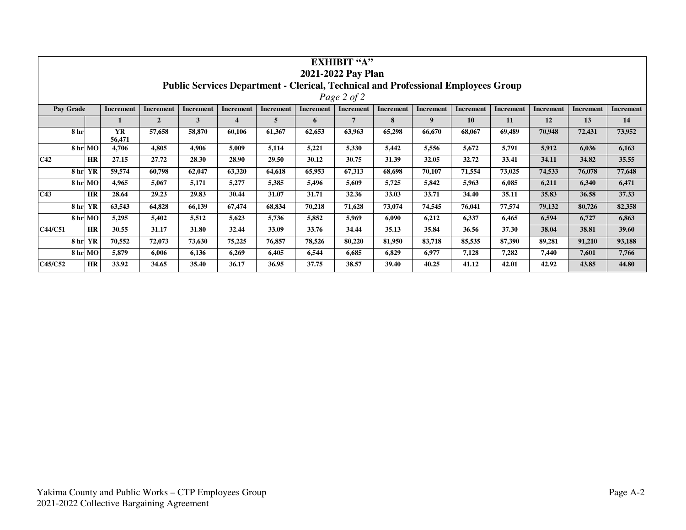| <b>EXHIBIT "A"</b>                                                                       |                       |                     |                  |           |                  |                  |                  |           |           |                  |                  |                  |           |                  |                  |
|------------------------------------------------------------------------------------------|-----------------------|---------------------|------------------|-----------|------------------|------------------|------------------|-----------|-----------|------------------|------------------|------------------|-----------|------------------|------------------|
| 2021-2022 Pay Plan                                                                       |                       |                     |                  |           |                  |                  |                  |           |           |                  |                  |                  |           |                  |                  |
| <b>Public Services Department - Clerical, Technical and Professional Employees Group</b> |                       |                     |                  |           |                  |                  |                  |           |           |                  |                  |                  |           |                  |                  |
| Page 2 of 2                                                                              |                       |                     |                  |           |                  |                  |                  |           |           |                  |                  |                  |           |                  |                  |
| Pay Grade                                                                                |                       | <b>Increment</b>    | <b>Increment</b> | Increment | <b>Increment</b> | <b>Increment</b> | <b>Increment</b> | Increment | Increment | <b>Increment</b> | <b>Increment</b> | <b>Increment</b> | Increment | <b>Increment</b> | <b>Increment</b> |
|                                                                                          |                       |                     | $\overline{2}$   | 3         | 4                | 5                | 6                | 7         | 8         | 9                | 10               | 11               | 12        | 13               | 14               |
|                                                                                          | 8 hr                  | <b>YR</b><br>56,471 | 57,658           | 58,870    | 60,106           | 61,367           | 62,653           | 63,963    | 65,298    | 66,670           | 68,067           | 69,489           | 70,948    | 72,431           | 73,952           |
|                                                                                          | 8 hr MO               | 4,706               | 4,805            | 4,906     | 5,009            | 5,114            | 5,221            | 5,330     | 5,442     | 5,556            | 5,672            | 5,791            | 5,912     | 6,036            | 6,163            |
| C42                                                                                      | HR                    | 27.15               | 27.72            | 28.30     | 28.90            | 29.50            | 30.12            | 30.75     | 31.39     | 32.05            | 32.72            | 33.41            | 34.11     | 34.82            | 35.55            |
|                                                                                          | YR<br>8 <sub>hr</sub> | 59,574              | 60,798           | 62,047    | 63,320           | 64,618           | 65,953           | 67,313    | 68,698    | 70,107           | 71,554           | 73,025           | 74,533    | 76,078           | 77,648           |
|                                                                                          | 8 hr MO               | 4,965               | 5,067            | 5,171     | 5,277            | 5,385            | 5,496            | 5,609     | 5,725     | 5,842            | 5,963            | 6,085            | 6,211     | 6,340            | 6,471            |
| C43                                                                                      | <b>HR</b>             | 28.64               | 29.23            | 29.83     | 30.44            | 31.07            | 31.71            | 32.36     | 33.03     | 33.71            | 34.40            | 35.11            | 35.83     | 36.58            | 37.33            |
|                                                                                          | 8 <sub>hr</sub><br>YR | 63,543              | 64,828           | 66,139    | 67,474           | 68,834           | 70,218           | 71,628    | 73,074    | 74,545           | 76,041           | 77,574           | 79,132    | 80,726           | 82,358           |
|                                                                                          | 8 hr MO               | 5,295               | 5,402            | 5,512     | 5,623            | 5,736            | 5,852            | 5,969     | 6,090     | 6,212            | 6,337            | 6,465            | 6,594     | 6,727            | 6,863            |
| C44/C51                                                                                  | <b>HR</b>             | 30.55               | 31.17            | 31.80     | 32.44            | 33.09            | 33.76            | 34.44     | 35.13     | 35.84            | 36.56            | 37.30            | 38.04     | 38.81            | 39.60            |
|                                                                                          | 8 <sub>hr</sub><br>YR | 70,552              | 72,073           | 73,630    | 75,225           | 76,857           | 78,526           | 80,220    | 81,950    | 83,718           | 85,535           | 87,390           | 89,281    | 91,210           | 93,188           |
|                                                                                          | 8 hr MO               | 5,879               | 6,006            | 6,136     | 6,269            | 6,405            | 6,544            | 6,685     | 6,829     | 6,977            | 7,128            | 7,282            | 7,440     | 7,601            | 7,766            |
| C45/C52                                                                                  | HR                    | 33.92               | 34.65            | 35.40     | 36.17            | 36.95            | 37.75            | 38.57     | 39.40     | 40.25            | 41.12            | 42.01            | 42.92     | 43.85            | 44.80            |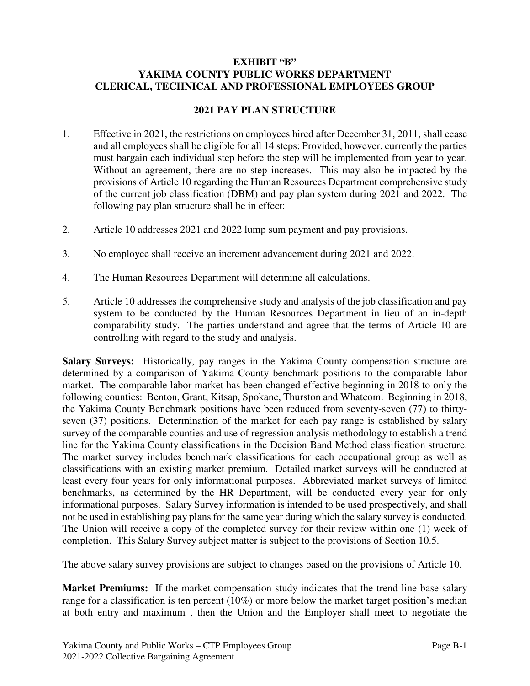### **EXHIBIT "B" YAKIMA COUNTY PUBLIC WORKS DEPARTMENT CLERICAL, TECHNICAL AND PROFESSIONAL EMPLOYEES GROUP**

## **2021 PAY PLAN STRUCTURE**

- 1. Effective in 2021, the restrictions on employees hired after December 31, 2011, shall cease and all employees shall be eligible for all 14 steps; Provided, however, currently the parties must bargain each individual step before the step will be implemented from year to year. Without an agreement, there are no step increases. This may also be impacted by the provisions of Article 10 regarding the Human Resources Department comprehensive study of the current job classification (DBM) and pay plan system during 2021 and 2022. The following pay plan structure shall be in effect:
- 2. Article 10 addresses 2021 and 2022 lump sum payment and pay provisions.
- 3. No employee shall receive an increment advancement during 2021 and 2022.
- 4. The Human Resources Department will determine all calculations.
- 5. Article 10 addresses the comprehensive study and analysis of the job classification and pay system to be conducted by the Human Resources Department in lieu of an in-depth comparability study. The parties understand and agree that the terms of Article 10 are controlling with regard to the study and analysis.

**Salary Surveys:** Historically, pay ranges in the Yakima County compensation structure are determined by a comparison of Yakima County benchmark positions to the comparable labor market. The comparable labor market has been changed effective beginning in 2018 to only the following counties: Benton, Grant, Kitsap, Spokane, Thurston and Whatcom. Beginning in 2018, the Yakima County Benchmark positions have been reduced from seventy-seven (77) to thirtyseven (37) positions. Determination of the market for each pay range is established by salary survey of the comparable counties and use of regression analysis methodology to establish a trend line for the Yakima County classifications in the Decision Band Method classification structure. The market survey includes benchmark classifications for each occupational group as well as classifications with an existing market premium. Detailed market surveys will be conducted at least every four years for only informational purposes. Abbreviated market surveys of limited benchmarks, as determined by the HR Department, will be conducted every year for only informational purposes. Salary Survey information is intended to be used prospectively, and shall not be used in establishing pay plans for the same year during which the salary survey is conducted. The Union will receive a copy of the completed survey for their review within one (1) week of completion. This Salary Survey subject matter is subject to the provisions of Section 10.5.

The above salary survey provisions are subject to changes based on the provisions of Article 10.

**Market Premiums:** If the market compensation study indicates that the trend line base salary range for a classification is ten percent (10%) or more below the market target position's median at both entry and maximum , then the Union and the Employer shall meet to negotiate the